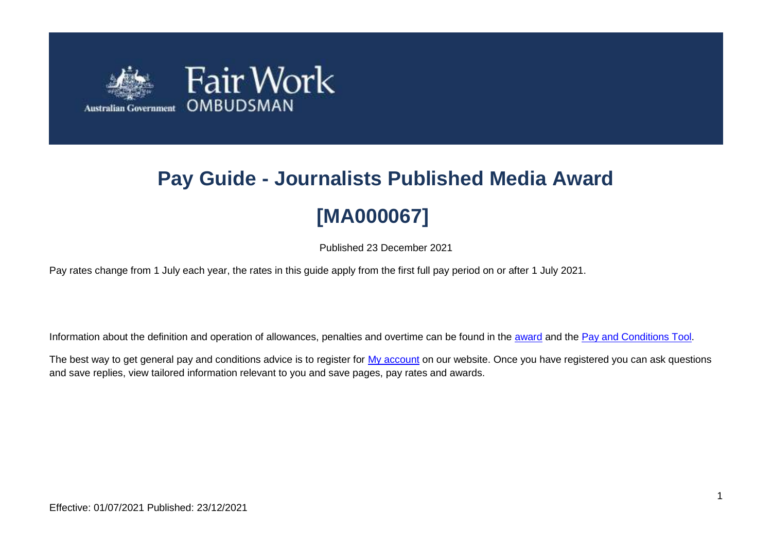

# **Pay Guide - Journalists Published Media Award [MA000067]**

Published 23 December 2021

Pay rates change from 1 July each year, the rates in this guide apply from the first full pay period on or after 1 July 2021.

Information about the definition and operation of allowances, penalties and overtime can be found in the [award](https://www.fairwork.gov.au/awards-and-agreements/awards/list-of-awards) and the [Pay and Conditions Tool.](https://calculate.fairwork.gov.au/)

The best way to get general pay and conditions advice is to register for [My account](https://www.fairwork.gov.au/my-account/registerpage.aspx) on our website. Once you have registered you can ask questions and save replies, view tailored information relevant to you and save pages, pay rates and awards.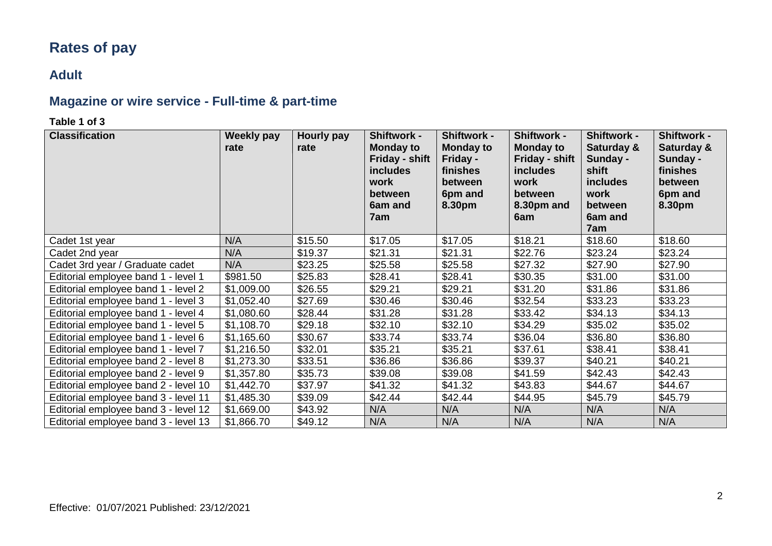# **Rates of pay**

### **Adult**

# **Magazine or wire service - Full-time & part-time**

#### **Table 1 of 3**

| <b>Classification</b>                | <b>Weekly pay</b><br>rate | Hourly pay<br>rate | Shiftwork -<br><b>Monday to</b><br>Friday - shift<br><i>includes</i><br>work<br><b>between</b><br>6am and<br>7am | Shiftwork -<br><b>Monday to</b><br>Friday -<br>finishes<br>between<br>6pm and<br>8.30pm | Shiftwork -<br><b>Monday to</b><br>Friday - shift<br><b>includes</b><br>work<br>between<br>8.30pm and<br>6am | Shiftwork -<br>Saturday &<br>Sunday -<br>shift<br><i>includes</i><br>work<br>between<br>6am and<br>7am | Shiftwork -<br>Saturday &<br>Sunday -<br>finishes<br>between<br>6pm and<br>8.30pm |
|--------------------------------------|---------------------------|--------------------|------------------------------------------------------------------------------------------------------------------|-----------------------------------------------------------------------------------------|--------------------------------------------------------------------------------------------------------------|--------------------------------------------------------------------------------------------------------|-----------------------------------------------------------------------------------|
| Cadet 1st year                       | N/A                       | \$15.50            | \$17.05                                                                                                          | \$17.05                                                                                 | \$18.21                                                                                                      | \$18.60                                                                                                | \$18.60                                                                           |
| Cadet 2nd year                       | N/A                       | \$19.37            | \$21.31                                                                                                          | \$21.31                                                                                 | \$22.76                                                                                                      | \$23.24                                                                                                | \$23.24                                                                           |
| Cadet 3rd year / Graduate cadet      | N/A                       | \$23.25            | \$25.58                                                                                                          | \$25.58                                                                                 | \$27.32                                                                                                      | \$27.90                                                                                                | \$27.90                                                                           |
| Editorial employee band 1 - level 1  | \$981.50                  | \$25.83            | \$28.41                                                                                                          | \$28.41                                                                                 | \$30.35                                                                                                      | \$31.00                                                                                                | \$31.00                                                                           |
| Editorial employee band 1 - level 2  | \$1,009.00                | \$26.55            | \$29.21                                                                                                          | \$29.21                                                                                 | \$31.20                                                                                                      | \$31.86                                                                                                | \$31.86                                                                           |
| Editorial employee band 1 - level 3  | \$1,052.40                | \$27.69            | \$30.46                                                                                                          | \$30.46                                                                                 | \$32.54                                                                                                      | \$33.23                                                                                                | \$33.23                                                                           |
| Editorial employee band 1 - level 4  | \$1,080.60                | \$28.44            | \$31.28                                                                                                          | \$31.28                                                                                 | \$33.42                                                                                                      | \$34.13                                                                                                | \$34.13                                                                           |
| Editorial employee band 1 - level 5  | \$1,108.70                | \$29.18            | \$32.10                                                                                                          | \$32.10                                                                                 | \$34.29                                                                                                      | \$35.02                                                                                                | \$35.02                                                                           |
| Editorial employee band 1 - level 6  | \$1,165.60                | \$30.67            | \$33.74                                                                                                          | \$33.74                                                                                 | \$36.04                                                                                                      | \$36.80                                                                                                | \$36.80                                                                           |
| Editorial employee band 1 - level 7  | \$1,216.50                | \$32.01            | \$35.21                                                                                                          | \$35.21                                                                                 | \$37.61                                                                                                      | \$38.41                                                                                                | \$38.41                                                                           |
| Editorial employee band 2 - level 8  | \$1,273.30                | \$33.51            | \$36.86                                                                                                          | \$36.86                                                                                 | \$39.37                                                                                                      | \$40.21                                                                                                | \$40.21                                                                           |
| Editorial employee band 2 - level 9  | \$1,357.80                | \$35.73            | \$39.08                                                                                                          | \$39.08                                                                                 | \$41.59                                                                                                      | \$42.43                                                                                                | \$42.43                                                                           |
| Editorial employee band 2 - level 10 | \$1,442.70                | \$37.97            | \$41.32                                                                                                          | \$41.32                                                                                 | \$43.83                                                                                                      | \$44.67                                                                                                | \$44.67                                                                           |
| Editorial employee band 3 - level 11 | \$1,485.30                | \$39.09            | \$42.44                                                                                                          | \$42.44                                                                                 | \$44.95                                                                                                      | \$45.79                                                                                                | \$45.79                                                                           |
| Editorial employee band 3 - level 12 | \$1,669.00                | \$43.92            | N/A                                                                                                              | N/A                                                                                     | N/A                                                                                                          | N/A                                                                                                    | N/A                                                                               |
| Editorial employee band 3 - level 13 | \$1,866.70                | \$49.12            | N/A                                                                                                              | N/A                                                                                     | N/A                                                                                                          | N/A                                                                                                    | N/A                                                                               |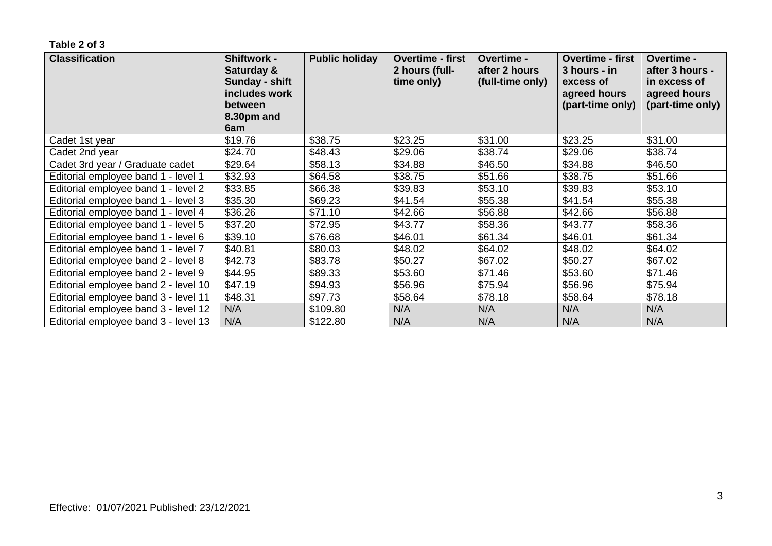| <b>Classification</b>                | <b>Shiftwork -</b><br>Saturday &<br>Sunday - shift<br>includes work<br>between<br>8.30pm and<br>6am | <b>Public holiday</b> | <b>Overtime - first</b><br>2 hours (full-<br>time only) | Overtime -<br>after 2 hours<br>(full-time only) | <b>Overtime - first</b><br>3 hours - in<br>excess of<br>agreed hours<br>(part-time only) | Overtime -<br>after 3 hours -<br>in excess of<br>agreed hours<br>(part-time only) |
|--------------------------------------|-----------------------------------------------------------------------------------------------------|-----------------------|---------------------------------------------------------|-------------------------------------------------|------------------------------------------------------------------------------------------|-----------------------------------------------------------------------------------|
| Cadet 1st year                       | \$19.76                                                                                             | \$38.75               | \$23.25                                                 | \$31.00                                         | \$23.25                                                                                  | \$31.00                                                                           |
| Cadet 2nd year                       | \$24.70                                                                                             | \$48.43               | \$29.06                                                 | \$38.74                                         | \$29.06                                                                                  | \$38.74                                                                           |
| Cadet 3rd year / Graduate cadet      | \$29.64                                                                                             | \$58.13               | \$34.88                                                 | \$46.50                                         | \$34.88                                                                                  | \$46.50                                                                           |
| Editorial employee band 1 - level 1  | \$32.93                                                                                             | \$64.58               | \$38.75                                                 | \$51.66                                         | \$38.75                                                                                  | \$51.66                                                                           |
| Editorial employee band 1 - level 2  | \$33.85                                                                                             | \$66.38               | \$39.83                                                 | \$53.10                                         | \$39.83                                                                                  | \$53.10                                                                           |
| Editorial employee band 1 - level 3  | \$35.30                                                                                             | \$69.23               | \$41.54                                                 | \$55.38                                         | \$41.54                                                                                  | \$55.38                                                                           |
| Editorial employee band 1 - level 4  | \$36.26                                                                                             | \$71.10               | \$42.66                                                 | \$56.88                                         | \$42.66                                                                                  | \$56.88                                                                           |
| Editorial employee band 1 - level 5  | \$37.20                                                                                             | \$72.95               | \$43.77                                                 | \$58.36                                         | \$43.77                                                                                  | \$58.36                                                                           |
| Editorial employee band 1 - level 6  | \$39.10                                                                                             | \$76.68               | \$46.01                                                 | \$61.34                                         | \$46.01                                                                                  | \$61.34                                                                           |
| Editorial employee band 1 - level 7  | \$40.81                                                                                             | \$80.03               | \$48.02                                                 | \$64.02                                         | \$48.02                                                                                  | \$64.02                                                                           |
| Editorial employee band 2 - level 8  | \$42.73                                                                                             | \$83.78               | \$50.27                                                 | \$67.02                                         | \$50.27                                                                                  | \$67.02                                                                           |
| Editorial employee band 2 - level 9  | \$44.95                                                                                             | \$89.33               | \$53.60                                                 | \$71.46                                         | \$53.60                                                                                  | \$71.46                                                                           |
| Editorial employee band 2 - level 10 | \$47.19                                                                                             | \$94.93               | \$56.96                                                 | \$75.94                                         | \$56.96                                                                                  | \$75.94                                                                           |
| Editorial employee band 3 - level 11 | \$48.31                                                                                             | \$97.73               | \$58.64                                                 | \$78.18                                         | \$58.64                                                                                  | \$78.18                                                                           |
| Editorial employee band 3 - level 12 | N/A                                                                                                 | \$109.80              | N/A                                                     | N/A                                             | N/A                                                                                      | N/A                                                                               |
| Editorial employee band 3 - level 13 | N/A                                                                                                 | \$122.80              | N/A                                                     | N/A                                             | N/A                                                                                      | N/A                                                                               |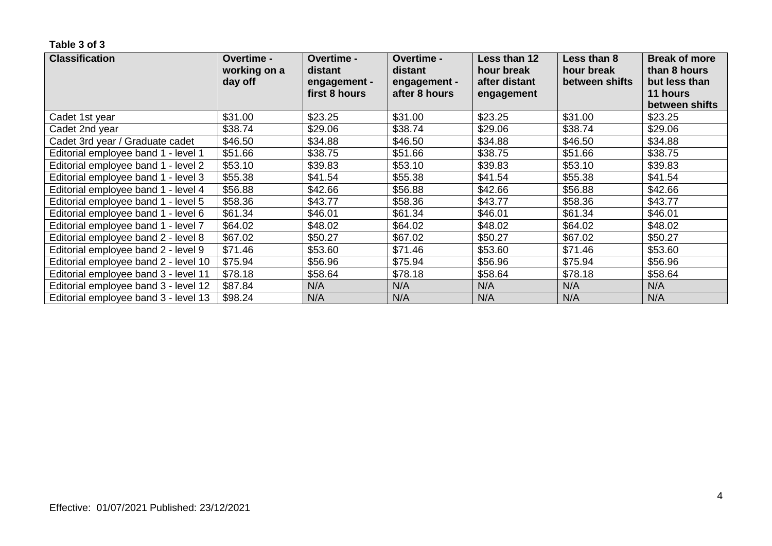| <b>Classification</b>                | <b>Overtime -</b><br>working on a<br>day off | Overtime -<br>distant<br>engagement -<br>first 8 hours | Overtime -<br>distant<br>engagement -<br>after 8 hours | Less than 12<br>hour break<br>after distant<br>engagement | Less than 8<br>hour break<br>between shifts | <b>Break of more</b><br>than 8 hours<br>but less than<br>11 hours<br>between shifts |
|--------------------------------------|----------------------------------------------|--------------------------------------------------------|--------------------------------------------------------|-----------------------------------------------------------|---------------------------------------------|-------------------------------------------------------------------------------------|
| Cadet 1st year                       | \$31.00                                      | \$23.25                                                | \$31.00                                                | \$23.25                                                   | \$31.00                                     | \$23.25                                                                             |
| Cadet 2nd year                       | \$38.74                                      | \$29.06                                                | \$38.74                                                | \$29.06                                                   | \$38.74                                     | \$29.06                                                                             |
| Cadet 3rd year / Graduate cadet      | \$46.50                                      | \$34.88                                                | \$46.50                                                | \$34.88                                                   | \$46.50                                     | \$34.88                                                                             |
| Editorial employee band 1 - level 1  | \$51.66                                      | \$38.75                                                | \$51.66                                                | \$38.75                                                   | \$51.66                                     | \$38.75                                                                             |
| Editorial employee band 1 - level 2  | \$53.10                                      | \$39.83                                                | \$53.10                                                | \$39.83                                                   | \$53.10                                     | \$39.83                                                                             |
| Editorial employee band 1 - level 3  | \$55.38                                      | \$41.54                                                | \$55.38                                                | \$41.54                                                   | \$55.38                                     | \$41.54                                                                             |
| Editorial employee band 1 - level 4  | \$56.88                                      | \$42.66                                                | \$56.88                                                | \$42.66                                                   | \$56.88                                     | \$42.66                                                                             |
| Editorial employee band 1 - level 5  | \$58.36                                      | \$43.77                                                | \$58.36                                                | \$43.77                                                   | \$58.36                                     | \$43.77                                                                             |
| Editorial employee band 1 - level 6  | \$61.34                                      | \$46.01                                                | \$61.34                                                | \$46.01                                                   | \$61.34                                     | \$46.01                                                                             |
| Editorial employee band 1 - level 7  | \$64.02                                      | \$48.02                                                | \$64.02                                                | \$48.02                                                   | \$64.02                                     | \$48.02                                                                             |
| Editorial employee band 2 - level 8  | \$67.02                                      | \$50.27                                                | \$67.02                                                | \$50.27                                                   | \$67.02                                     | \$50.27                                                                             |
| Editorial employee band 2 - level 9  | \$71.46                                      | \$53.60                                                | \$71.46                                                | \$53.60                                                   | \$71.46                                     | \$53.60                                                                             |
| Editorial employee band 2 - level 10 | \$75.94                                      | \$56.96                                                | \$75.94                                                | \$56.96                                                   | \$75.94                                     | \$56.96                                                                             |
| Editorial employee band 3 - level 11 | \$78.18                                      | \$58.64                                                | \$78.18                                                | \$58.64                                                   | \$78.18                                     | \$58.64                                                                             |
| Editorial employee band 3 - level 12 | \$87.84                                      | N/A                                                    | N/A                                                    | N/A                                                       | N/A                                         | N/A                                                                                 |
| Editorial employee band 3 - level 13 | \$98.24                                      | N/A                                                    | N/A                                                    | N/A                                                       | N/A                                         | N/A                                                                                 |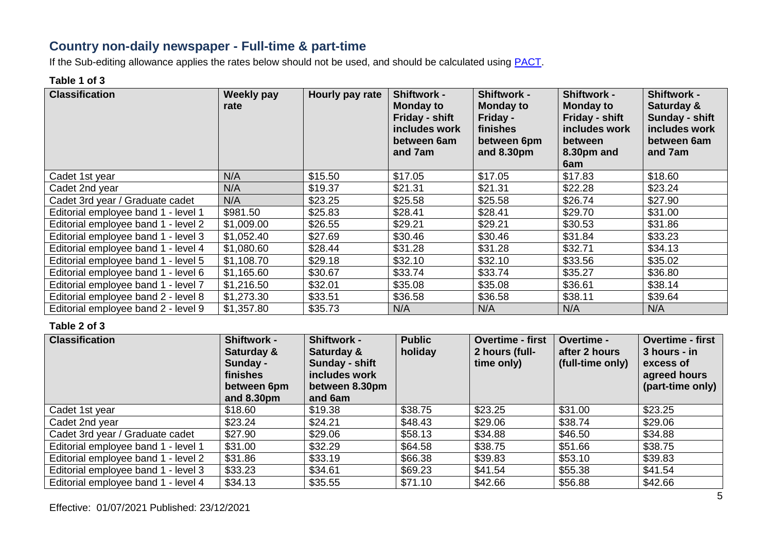### **Country non-daily newspaper - Full-time & part-time**

If the Sub-editing allowance applies the rates below should not be used, and should be calculated using **PACT**.

#### **Table 1 of 3**

| <b>Classification</b>               | Weekly pay<br>rate | Hourly pay rate | <b>Shiftwork -</b><br><b>Monday to</b><br>Friday - shift<br>includes work<br>between 6am<br>and 7am | <b>Shiftwork -</b><br><b>Monday to</b><br>Friday -<br>finishes<br>between 6pm<br>and 8.30pm | <b>Shiftwork -</b><br><b>Monday to</b><br>Friday - shift<br>includes work<br><b>between</b><br>8.30pm and<br>6am | <b>Shiftwork -</b><br>Saturday &<br>Sunday - shift<br>includes work<br>between 6am<br>and 7am |
|-------------------------------------|--------------------|-----------------|-----------------------------------------------------------------------------------------------------|---------------------------------------------------------------------------------------------|------------------------------------------------------------------------------------------------------------------|-----------------------------------------------------------------------------------------------|
| Cadet 1st year                      | N/A                | \$15.50         | \$17.05                                                                                             | \$17.05                                                                                     | \$17.83                                                                                                          | \$18.60                                                                                       |
| Cadet 2nd year                      | N/A                | \$19.37         | \$21.31                                                                                             | \$21.31                                                                                     | \$22.28                                                                                                          | \$23.24                                                                                       |
| Cadet 3rd year / Graduate cadet     | N/A                | \$23.25         | \$25.58                                                                                             | \$25.58                                                                                     | \$26.74                                                                                                          | \$27.90                                                                                       |
| Editorial employee band 1 - level 1 | \$981.50           | \$25.83         | \$28.41                                                                                             | \$28.41                                                                                     | \$29.70                                                                                                          | \$31.00                                                                                       |
| Editorial employee band 1 - level 2 | \$1,009.00         | \$26.55         | \$29.21                                                                                             | \$29.21                                                                                     | \$30.53                                                                                                          | \$31.86                                                                                       |
| Editorial employee band 1 - level 3 | \$1,052.40         | \$27.69         | \$30.46                                                                                             | \$30.46                                                                                     | \$31.84                                                                                                          | \$33.23                                                                                       |
| Editorial employee band 1 - level 4 | \$1,080.60         | \$28.44         | \$31.28                                                                                             | \$31.28                                                                                     | \$32.71                                                                                                          | \$34.13                                                                                       |
| Editorial employee band 1 - level 5 | \$1,108.70         | \$29.18         | \$32.10                                                                                             | \$32.10                                                                                     | \$33.56                                                                                                          | \$35.02                                                                                       |
| Editorial employee band 1 - level 6 | \$1,165.60         | \$30.67         | \$33.74                                                                                             | \$33.74                                                                                     | \$35.27                                                                                                          | \$36.80                                                                                       |
| Editorial employee band 1 - level 7 | \$1,216.50         | \$32.01         | \$35.08                                                                                             | \$35.08                                                                                     | \$36.61                                                                                                          | \$38.14                                                                                       |
| Editorial employee band 2 - level 8 | \$1,273.30         | \$33.51         | \$36.58                                                                                             | \$36.58                                                                                     | \$38.11                                                                                                          | \$39.64                                                                                       |
| Editorial employee band 2 - level 9 | \$1,357.80         | \$35.73         | N/A                                                                                                 | N/A                                                                                         | N/A                                                                                                              | N/A                                                                                           |

| <b>Classification</b>               | <b>Shiftwork -</b><br>Saturday &<br>Sunday -<br>finishes<br>between 6pm<br>and 8.30pm | <b>Shiftwork -</b><br>Saturday &<br>Sunday - shift<br>includes work<br>between 8.30pm<br>and 6am | <b>Public</b><br>holiday | <b>Overtime - first</b><br>2 hours (full-<br>time only) | <b>Overtime -</b><br>after 2 hours<br>(full-time only) | <b>Overtime - first</b><br>3 hours - in<br>excess of<br>agreed hours<br>(part-time only) |
|-------------------------------------|---------------------------------------------------------------------------------------|--------------------------------------------------------------------------------------------------|--------------------------|---------------------------------------------------------|--------------------------------------------------------|------------------------------------------------------------------------------------------|
| Cadet 1st year                      | \$18.60                                                                               | \$19.38                                                                                          | \$38.75                  | \$23.25                                                 | \$31.00                                                | \$23.25                                                                                  |
| Cadet 2nd year                      | \$23.24                                                                               | \$24.21                                                                                          | \$48.43                  | \$29.06                                                 | \$38.74                                                | \$29.06                                                                                  |
| Cadet 3rd year / Graduate cadet     | \$27.90                                                                               | \$29.06                                                                                          | \$58.13                  | \$34.88                                                 | \$46.50                                                | \$34.88                                                                                  |
| Editorial employee band 1 - level 1 | \$31.00                                                                               | \$32.29                                                                                          | \$64.58                  | \$38.75                                                 | \$51.66                                                | \$38.75                                                                                  |
| Editorial employee band 1 - level 2 | \$31.86                                                                               | \$33.19                                                                                          | \$66.38                  | \$39.83                                                 | \$53.10                                                | \$39.83                                                                                  |
| Editorial employee band 1 - level 3 | \$33.23                                                                               | \$34.61                                                                                          | \$69.23                  | \$41.54                                                 | \$55.38                                                | \$41.54                                                                                  |
| Editorial employee band 1 - level 4 | \$34.13                                                                               | \$35.55                                                                                          | \$71.10                  | \$42.66                                                 | \$56.88                                                | \$42.66                                                                                  |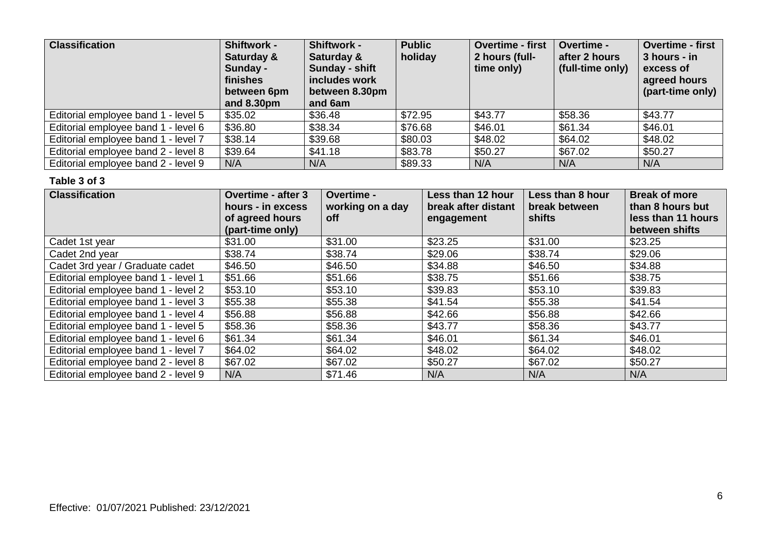| <b>Classification</b>               | Shiftwork -<br>Saturday &<br>Sunday -<br>finishes<br>between 6pm<br>and 8.30pm | Shiftwork -<br>Saturday &<br>Sunday - shift<br>includes work<br>between 8.30pm<br>and 6am | <b>Public</b><br>holiday | <b>Overtime - first</b><br>2 hours (full-<br>time only) | <b>Overtime -</b><br>after 2 hours<br>(full-time only) | <b>Overtime - first</b><br>3 hours - in<br>excess of<br>agreed hours<br>(part-time only) |
|-------------------------------------|--------------------------------------------------------------------------------|-------------------------------------------------------------------------------------------|--------------------------|---------------------------------------------------------|--------------------------------------------------------|------------------------------------------------------------------------------------------|
| Editorial employee band 1 - level 5 | \$35.02                                                                        | \$36.48                                                                                   | \$72.95                  | \$43.77                                                 | \$58.36                                                | \$43.77                                                                                  |
| Editorial employee band 1 - level 6 | \$36.80                                                                        | \$38.34                                                                                   | \$76.68                  | \$46.01                                                 | \$61.34                                                | \$46.01                                                                                  |
| Editorial employee band 1 - level 7 | \$38.14                                                                        | \$39.68                                                                                   | \$80.03                  | \$48.02                                                 | \$64.02                                                | \$48.02                                                                                  |
| Editorial employee band 2 - level 8 | \$39.64                                                                        | \$41.18                                                                                   | \$83.78                  | \$50.27                                                 | \$67.02                                                | \$50.27                                                                                  |
| Editorial employee band 2 - level 9 | N/A                                                                            | N/A                                                                                       | \$89.33                  | N/A                                                     | N/A                                                    | N/A                                                                                      |

| <b>Classification</b>               | <b>Overtime - after 3</b><br>hours - in excess<br>of agreed hours<br>(part-time only) | Overtime -<br>working on a day<br><b>off</b> | <b>Less than 12 hour</b><br>break after distant<br>engagement | Less than 8 hour<br>break between<br>shifts | <b>Break of more</b><br>than 8 hours but<br>less than 11 hours<br>between shifts |
|-------------------------------------|---------------------------------------------------------------------------------------|----------------------------------------------|---------------------------------------------------------------|---------------------------------------------|----------------------------------------------------------------------------------|
| Cadet 1st year                      | \$31.00                                                                               | \$31.00                                      | \$23.25                                                       | \$31.00                                     | \$23.25                                                                          |
| Cadet 2nd year                      | \$38.74                                                                               | \$38.74                                      | \$29.06                                                       | \$38.74                                     | \$29.06                                                                          |
| Cadet 3rd year / Graduate cadet     | \$46.50                                                                               | \$46.50                                      | \$34.88                                                       | \$46.50                                     | \$34.88                                                                          |
| Editorial employee band 1 - level 1 | \$51.66                                                                               | \$51.66                                      | \$38.75                                                       | \$51.66                                     | \$38.75                                                                          |
| Editorial employee band 1 - level 2 | \$53.10                                                                               | \$53.10                                      | \$39.83                                                       | \$53.10                                     | \$39.83                                                                          |
| Editorial employee band 1 - level 3 | \$55.38                                                                               | \$55.38                                      | \$41.54                                                       | \$55.38                                     | \$41.54                                                                          |
| Editorial employee band 1 - level 4 | \$56.88                                                                               | \$56.88                                      | \$42.66                                                       | \$56.88                                     | \$42.66                                                                          |
| Editorial employee band 1 - level 5 | \$58.36                                                                               | \$58.36                                      | \$43.77                                                       | \$58.36                                     | \$43.77                                                                          |
| Editorial employee band 1 - level 6 | \$61.34                                                                               | \$61.34                                      | \$46.01                                                       | \$61.34                                     | \$46.01                                                                          |
| Editorial employee band 1 - level 7 | \$64.02                                                                               | \$64.02                                      | \$48.02                                                       | \$64.02                                     | \$48.02                                                                          |
| Editorial employee band 2 - level 8 | \$67.02                                                                               | \$67.02                                      | \$50.27                                                       | \$67.02                                     | \$50.27                                                                          |
| Editorial employee band 2 - level 9 | N/A                                                                                   | \$71.46                                      | N/A                                                           | N/A                                         | N/A                                                                              |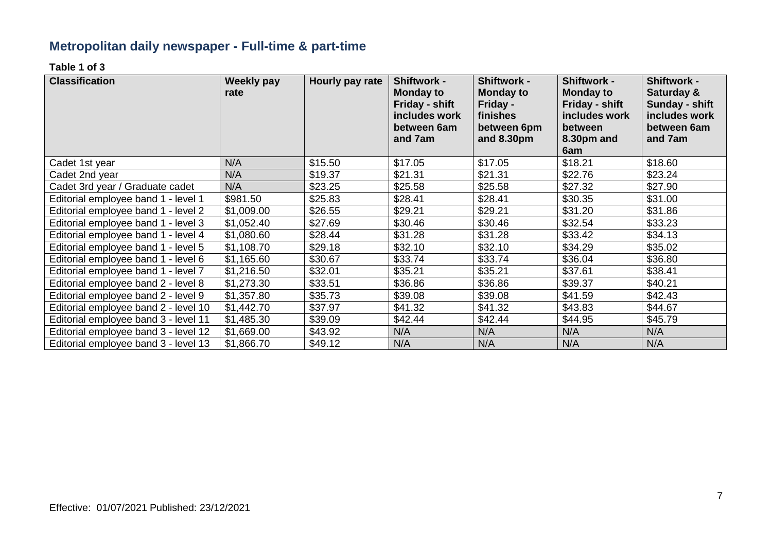# **Metropolitan daily newspaper - Full-time & part-time**

**Table 1 of 3**

| <b>Classification</b>                | Weekly pay<br>rate | Hourly pay rate | <b>Shiftwork -</b><br><b>Monday to</b><br>Friday - shift<br>includes work | <b>Shiftwork -</b><br><b>Monday to</b><br>Friday -<br>finishes | <b>Shiftwork -</b><br><b>Monday to</b><br>Friday - shift<br>includes work | <b>Shiftwork -</b><br>Saturday &<br>Sunday - shift<br>includes work |
|--------------------------------------|--------------------|-----------------|---------------------------------------------------------------------------|----------------------------------------------------------------|---------------------------------------------------------------------------|---------------------------------------------------------------------|
|                                      |                    |                 | between 6am<br>and 7am                                                    | between 6pm<br>and 8.30pm                                      | between<br>8.30pm and                                                     | between 6am<br>and 7am                                              |
|                                      |                    |                 |                                                                           |                                                                | 6am                                                                       |                                                                     |
| Cadet 1st year                       | N/A                | \$15.50         | \$17.05                                                                   | \$17.05                                                        | \$18.21                                                                   | \$18.60                                                             |
| Cadet 2nd year                       | N/A                | \$19.37         | \$21.31                                                                   | \$21.31                                                        | \$22.76                                                                   | \$23.24                                                             |
| Cadet 3rd year / Graduate cadet      | N/A                | \$23.25         | \$25.58                                                                   | \$25.58                                                        | \$27.32                                                                   | \$27.90                                                             |
| Editorial employee band 1 - level 1  | \$981.50           | \$25.83         | \$28.41                                                                   | \$28.41                                                        | \$30.35                                                                   | \$31.00                                                             |
| Editorial employee band 1 - level 2  | \$1,009.00         | \$26.55         | \$29.21                                                                   | \$29.21                                                        | \$31.20                                                                   | \$31.86                                                             |
| Editorial employee band 1 - level 3  | \$1,052.40         | \$27.69         | \$30.46                                                                   | \$30.46                                                        | \$32.54                                                                   | \$33.23                                                             |
| Editorial employee band 1 - level 4  | \$1,080.60         | \$28.44         | \$31.28                                                                   | \$31.28                                                        | \$33.42                                                                   | \$34.13                                                             |
| Editorial employee band 1 - level 5  | \$1,108.70         | \$29.18         | \$32.10                                                                   | \$32.10                                                        | \$34.29                                                                   | \$35.02                                                             |
| Editorial employee band 1 - level 6  | \$1,165.60         | \$30.67         | \$33.74                                                                   | \$33.74                                                        | \$36.04                                                                   | \$36.80                                                             |
| Editorial employee band 1 - level 7  | \$1,216.50         | \$32.01         | \$35.21                                                                   | \$35.21                                                        | \$37.61                                                                   | \$38.41                                                             |
| Editorial employee band 2 - level 8  | \$1,273.30         | \$33.51         | \$36.86                                                                   | \$36.86                                                        | \$39.37                                                                   | \$40.21                                                             |
| Editorial employee band 2 - level 9  | \$1,357.80         | \$35.73         | \$39.08                                                                   | \$39.08                                                        | \$41.59                                                                   | \$42.43                                                             |
| Editorial employee band 2 - level 10 | \$1,442.70         | \$37.97         | \$41.32                                                                   | \$41.32                                                        | \$43.83                                                                   | \$44.67                                                             |
| Editorial employee band 3 - level 11 | \$1,485.30         | \$39.09         | \$42.44                                                                   | \$42.44                                                        | \$44.95                                                                   | \$45.79                                                             |
| Editorial employee band 3 - level 12 | \$1,669.00         | \$43.92         | N/A                                                                       | N/A                                                            | N/A                                                                       | N/A                                                                 |
| Editorial employee band 3 - level 13 | \$1,866.70         | \$49.12         | N/A                                                                       | N/A                                                            | N/A                                                                       | N/A                                                                 |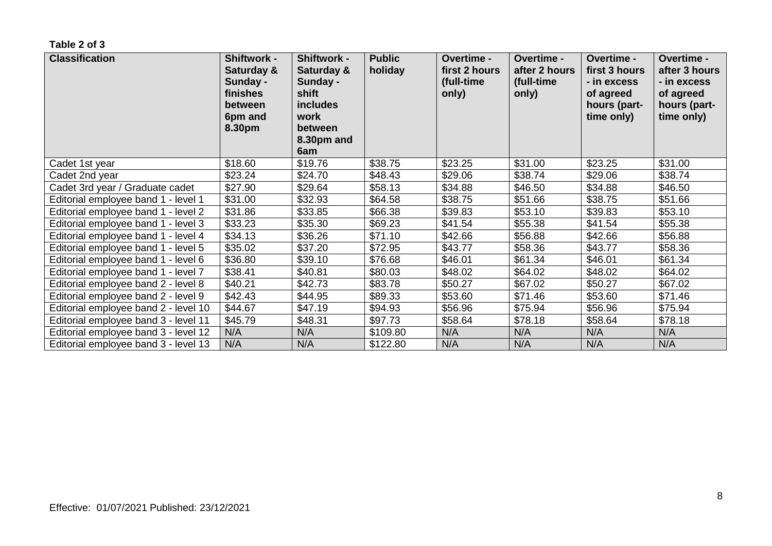| <b>Classification</b>                | <b>Shiftwork -</b><br>Saturday &<br>Sunday -<br>finishes<br>between<br>6pm and<br>8.30pm | <b>Shiftwork -</b><br>Saturday &<br>Sunday -<br>shift<br><b>includes</b><br>work<br>between<br>8.30pm and<br>6am | <b>Public</b><br>holiday | Overtime -<br>first 2 hours<br>(full-time<br>only) | Overtime -<br>after 2 hours<br>(full-time<br>only) | Overtime -<br>first 3 hours<br>- in excess<br>of agreed<br>hours (part-<br>time only) | Overtime -<br>after 3 hours<br>- in excess<br>of agreed<br>hours (part-<br>time only) |
|--------------------------------------|------------------------------------------------------------------------------------------|------------------------------------------------------------------------------------------------------------------|--------------------------|----------------------------------------------------|----------------------------------------------------|---------------------------------------------------------------------------------------|---------------------------------------------------------------------------------------|
| Cadet 1st year                       | \$18.60                                                                                  | \$19.76                                                                                                          | \$38.75                  | \$23.25                                            | \$31.00                                            | \$23.25                                                                               | \$31.00                                                                               |
| Cadet 2nd year                       | \$23.24                                                                                  | \$24.70                                                                                                          | \$48.43                  | \$29.06                                            | \$38.74                                            | \$29.06                                                                               | \$38.74                                                                               |
| Cadet 3rd year / Graduate cadet      | \$27.90                                                                                  | \$29.64                                                                                                          | \$58.13                  | \$34.88                                            | \$46.50                                            | \$34.88                                                                               | \$46.50                                                                               |
| Editorial employee band 1 - level 1  | \$31.00                                                                                  | \$32.93                                                                                                          | \$64.58                  | \$38.75                                            | \$51.66                                            | \$38.75                                                                               | \$51.66                                                                               |
| Editorial employee band 1 - level 2  | \$31.86                                                                                  | \$33.85                                                                                                          | \$66.38                  | \$39.83                                            | \$53.10                                            | \$39.83                                                                               | \$53.10                                                                               |
| Editorial employee band 1 - level 3  | \$33.23                                                                                  | \$35.30                                                                                                          | \$69.23                  | \$41.54                                            | \$55.38                                            | \$41.54                                                                               | \$55.38                                                                               |
| Editorial employee band 1 - level 4  | \$34.13                                                                                  | \$36.26                                                                                                          | \$71.10                  | \$42.66                                            | \$56.88                                            | \$42.66                                                                               | \$56.88                                                                               |
| Editorial employee band 1 - level 5  | \$35.02                                                                                  | \$37.20                                                                                                          | \$72.95                  | \$43.77                                            | \$58.36                                            | \$43.77                                                                               | \$58.36                                                                               |
| Editorial employee band 1 - level 6  | \$36.80                                                                                  | \$39.10                                                                                                          | \$76.68                  | \$46.01                                            | \$61.34                                            | \$46.01                                                                               | \$61.34                                                                               |
| Editorial employee band 1 - level 7  | \$38.41                                                                                  | \$40.81                                                                                                          | \$80.03                  | \$48.02                                            | \$64.02                                            | \$48.02                                                                               | \$64.02                                                                               |
| Editorial employee band 2 - level 8  | \$40.21                                                                                  | \$42.73                                                                                                          | \$83.78                  | \$50.27                                            | \$67.02                                            | \$50.27                                                                               | \$67.02                                                                               |
| Editorial employee band 2 - level 9  | \$42.43                                                                                  | \$44.95                                                                                                          | \$89.33                  | \$53.60                                            | \$71.46                                            | \$53.60                                                                               | \$71.46                                                                               |
| Editorial employee band 2 - level 10 | \$44.67                                                                                  | \$47.19                                                                                                          | \$94.93                  | \$56.96                                            | \$75.94                                            | \$56.96                                                                               | \$75.94                                                                               |
| Editorial employee band 3 - level 11 | \$45.79                                                                                  | \$48.31                                                                                                          | \$97.73                  | \$58.64                                            | \$78.18                                            | \$58.64                                                                               | \$78.18                                                                               |
| Editorial employee band 3 - level 12 | N/A                                                                                      | N/A                                                                                                              | \$109.80                 | N/A                                                | N/A                                                | N/A                                                                                   | N/A                                                                                   |
| Editorial employee band 3 - level 13 | N/A                                                                                      | N/A                                                                                                              | \$122.80                 | N/A                                                | N/A                                                | N/A                                                                                   | N/A                                                                                   |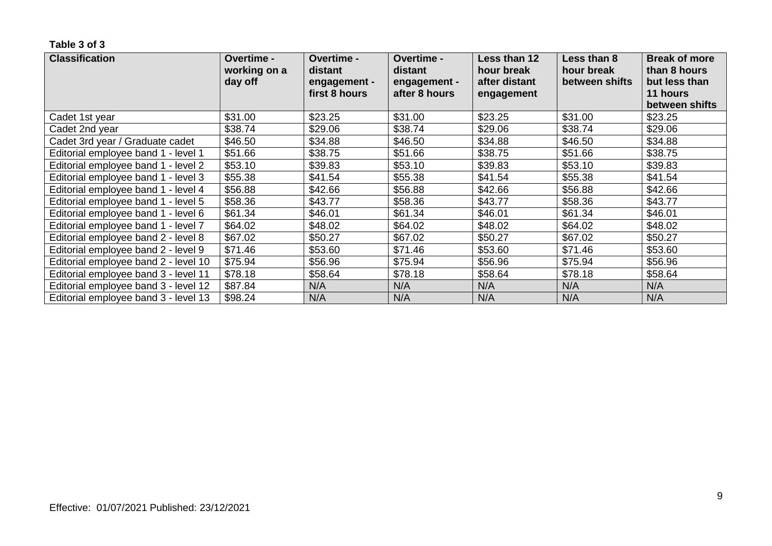| <b>Classification</b>                | Overtime -<br>working on a | Overtime -<br>distant | Overtime -<br>distant | Less than 12<br>hour break | Less than 8<br>hour break | <b>Break of more</b><br>than 8 hours |
|--------------------------------------|----------------------------|-----------------------|-----------------------|----------------------------|---------------------------|--------------------------------------|
|                                      | day off                    | engagement -          | engagement -          | after distant              | between shifts            | but less than                        |
|                                      |                            | first 8 hours         | after 8 hours         | engagement                 |                           | 11 hours                             |
|                                      |                            |                       |                       |                            |                           | between shifts                       |
| Cadet 1st year                       | \$31.00                    | \$23.25               | \$31.00               | \$23.25                    | \$31.00                   | \$23.25                              |
| Cadet 2nd year                       | \$38.74                    | \$29.06               | \$38.74               | \$29.06                    | \$38.74                   | \$29.06                              |
| Cadet 3rd year / Graduate cadet      | \$46.50                    | \$34.88               | \$46.50               | \$34.88                    | \$46.50                   | \$34.88                              |
| Editorial employee band 1 - level 1  | \$51.66                    | \$38.75               | \$51.66               | \$38.75                    | \$51.66                   | \$38.75                              |
| Editorial employee band 1 - level 2  | \$53.10                    | \$39.83               | \$53.10               | \$39.83                    | \$53.10                   | \$39.83                              |
| Editorial employee band 1 - level 3  | \$55.38                    | \$41.54               | \$55.38               | \$41.54                    | \$55.38                   | \$41.54                              |
| Editorial employee band 1 - level 4  | \$56.88                    | \$42.66               | \$56.88               | \$42.66                    | \$56.88                   | \$42.66                              |
| Editorial employee band 1 - level 5  | \$58.36                    | \$43.77               | \$58.36               | \$43.77                    | \$58.36                   | \$43.77                              |
| Editorial employee band 1 - level 6  | \$61.34                    | \$46.01               | \$61.34               | \$46.01                    | \$61.34                   | \$46.01                              |
| Editorial employee band 1 - level 7  | \$64.02                    | \$48.02               | \$64.02               | \$48.02                    | \$64.02                   | \$48.02                              |
| Editorial employee band 2 - level 8  | \$67.02                    | \$50.27               | \$67.02               | \$50.27                    | \$67.02                   | \$50.27                              |
| Editorial employee band 2 - level 9  | \$71.46                    | \$53.60               | \$71.46               | \$53.60                    | \$71.46                   | \$53.60                              |
| Editorial employee band 2 - level 10 | \$75.94                    | \$56.96               | \$75.94               | \$56.96                    | \$75.94                   | \$56.96                              |
| Editorial employee band 3 - level 11 | \$78.18                    | \$58.64               | \$78.18               | \$58.64                    | \$78.18                   | \$58.64                              |
| Editorial employee band 3 - level 12 | \$87.84                    | N/A                   | N/A                   | N/A                        | N/A                       | N/A                                  |
| Editorial employee band 3 - level 13 | \$98.24                    | N/A                   | N/A                   | N/A                        | N/A                       | N/A                                  |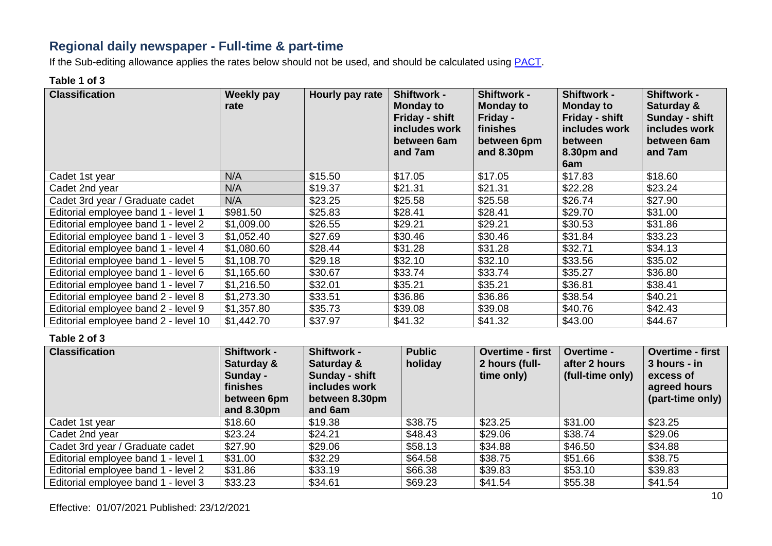### **Regional daily newspaper - Full-time & part-time**

If the Sub-editing allowance applies the rates below should not be used, and should be calculated using **PACT**.

#### **Table 1 of 3**

| <b>Classification</b>                | <b>Weekly pay</b><br>rate | Hourly pay rate | <b>Shiftwork -</b><br><b>Monday to</b><br>Friday - shift<br>includes work<br>between 6am<br>and 7am | <b>Shiftwork -</b><br><b>Monday to</b><br>Friday -<br>finishes<br>between 6pm<br>and 8.30pm | <b>Shiftwork -</b><br><b>Monday to</b><br>Friday - shift<br>includes work<br>between<br>8.30pm and<br>6am | <b>Shiftwork -</b><br>Saturday &<br>Sunday - shift<br>includes work<br>between 6am<br>and 7am |
|--------------------------------------|---------------------------|-----------------|-----------------------------------------------------------------------------------------------------|---------------------------------------------------------------------------------------------|-----------------------------------------------------------------------------------------------------------|-----------------------------------------------------------------------------------------------|
| Cadet 1st year                       | N/A                       | \$15.50         | \$17.05                                                                                             | \$17.05                                                                                     | \$17.83                                                                                                   | \$18.60                                                                                       |
| Cadet 2nd year                       | N/A                       | \$19.37         | \$21.31                                                                                             | \$21.31                                                                                     | \$22.28                                                                                                   | \$23.24                                                                                       |
| Cadet 3rd year / Graduate cadet      | N/A                       | \$23.25         | \$25.58                                                                                             | \$25.58                                                                                     | \$26.74                                                                                                   | \$27.90                                                                                       |
| Editorial employee band 1 - level 1  | \$981.50                  | \$25.83         | \$28.41                                                                                             | \$28.41                                                                                     | \$29.70                                                                                                   | \$31.00                                                                                       |
| Editorial employee band 1 - level 2  | \$1,009.00                | \$26.55         | \$29.21                                                                                             | \$29.21                                                                                     | \$30.53                                                                                                   | \$31.86                                                                                       |
| Editorial employee band 1 - level 3  | \$1,052.40                | \$27.69         | \$30.46                                                                                             | \$30.46                                                                                     | \$31.84                                                                                                   | \$33.23                                                                                       |
| Editorial employee band 1 - level 4  | \$1,080.60                | \$28.44         | \$31.28                                                                                             | \$31.28                                                                                     | \$32.71                                                                                                   | \$34.13                                                                                       |
| Editorial employee band 1 - level 5  | \$1,108.70                | \$29.18         | \$32.10                                                                                             | \$32.10                                                                                     | \$33.56                                                                                                   | \$35.02                                                                                       |
| Editorial employee band 1 - level 6  | \$1,165.60                | \$30.67         | \$33.74                                                                                             | \$33.74                                                                                     | \$35.27                                                                                                   | \$36.80                                                                                       |
| Editorial employee band 1 - level 7  | \$1,216.50                | \$32.01         | \$35.21                                                                                             | \$35.21                                                                                     | \$36.81                                                                                                   | \$38.41                                                                                       |
| Editorial employee band 2 - level 8  | \$1,273.30                | \$33.51         | \$36.86                                                                                             | \$36.86                                                                                     | \$38.54                                                                                                   | \$40.21                                                                                       |
| Editorial employee band 2 - level 9  | \$1,357.80                | \$35.73         | \$39.08                                                                                             | \$39.08                                                                                     | \$40.76                                                                                                   | \$42.43                                                                                       |
| Editorial employee band 2 - level 10 | \$1,442.70                | \$37.97         | \$41.32                                                                                             | \$41.32                                                                                     | \$43.00                                                                                                   | \$44.67                                                                                       |

| <b>Classification</b>               | <b>Shiftwork -</b><br>Saturday &<br>Sunday -<br>finishes<br>between 6pm<br>and 8.30pm | <b>Shiftwork -</b><br>Saturday &<br>Sunday - shift<br>includes work<br>between 8.30pm<br>and 6am | <b>Public</b><br>holiday | Overtime - first<br>2 hours (full-<br>time only) | <b>Overtime -</b><br>after 2 hours<br>(full-time only) | <b>Overtime - first</b><br>3 hours - in<br>excess of<br>agreed hours<br>(part-time only) |
|-------------------------------------|---------------------------------------------------------------------------------------|--------------------------------------------------------------------------------------------------|--------------------------|--------------------------------------------------|--------------------------------------------------------|------------------------------------------------------------------------------------------|
| Cadet 1st year                      | \$18.60                                                                               | \$19.38                                                                                          | \$38.75                  | \$23.25                                          | \$31.00                                                | \$23.25                                                                                  |
| Cadet 2nd year                      | \$23.24                                                                               | \$24.21                                                                                          | \$48.43                  | \$29.06                                          | \$38.74                                                | \$29.06                                                                                  |
| Cadet 3rd year / Graduate cadet     | \$27.90                                                                               | \$29.06                                                                                          | \$58.13                  | \$34.88                                          | \$46.50                                                | \$34.88                                                                                  |
| Editorial employee band 1 - level 1 | \$31.00                                                                               | \$32.29                                                                                          | \$64.58                  | \$38.75                                          | \$51.66                                                | \$38.75                                                                                  |
| Editorial employee band 1 - level 2 | \$31.86                                                                               | \$33.19                                                                                          | \$66.38                  | \$39.83                                          | \$53.10                                                | \$39.83                                                                                  |
| Editorial employee band 1 - level 3 | \$33.23                                                                               | \$34.61                                                                                          | \$69.23                  | \$41.54                                          | \$55.38                                                | \$41.54                                                                                  |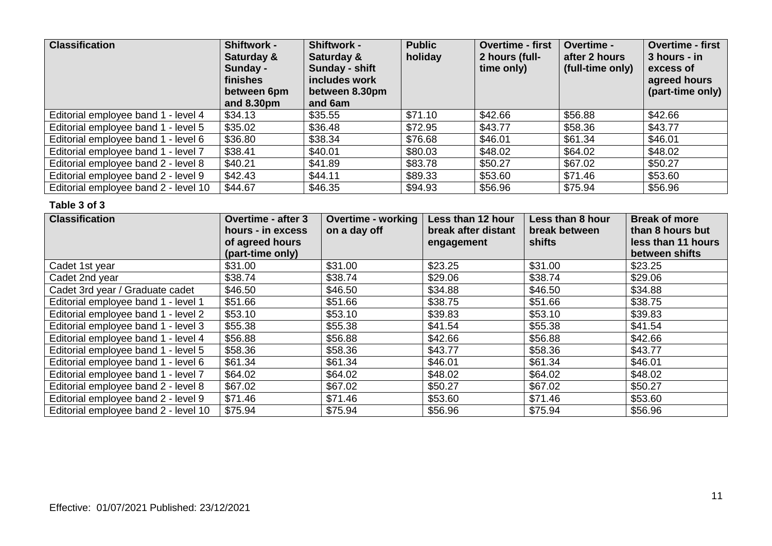| <b>Classification</b>                | <b>Shiftwork -</b><br>Saturday &<br>Sunday -<br>finishes<br>between 6pm<br>and $8.30pm$ | <b>Shiftwork -</b><br>Saturday &<br>Sunday - shift<br>includes work<br>between 8.30pm<br>and 6am | <b>Public</b><br>holiday | <b>Overtime - first</b><br>2 hours (full-<br>time only) | Overtime -<br>after 2 hours<br>(full-time only) | <b>Overtime - first</b><br>3 hours - in<br>excess of<br>agreed hours<br>(part-time only) |
|--------------------------------------|-----------------------------------------------------------------------------------------|--------------------------------------------------------------------------------------------------|--------------------------|---------------------------------------------------------|-------------------------------------------------|------------------------------------------------------------------------------------------|
| Editorial employee band 1 - level 4  | \$34.13                                                                                 | \$35.55                                                                                          | \$71.10                  | \$42.66                                                 | \$56.88                                         | \$42.66                                                                                  |
| Editorial employee band 1 - level 5  | \$35.02                                                                                 | \$36.48                                                                                          | \$72.95                  | \$43.77                                                 | \$58.36                                         | \$43.77                                                                                  |
| Editorial employee band 1 - level 6  | \$36.80                                                                                 | \$38.34                                                                                          | \$76.68                  | \$46.01                                                 | \$61.34                                         | \$46.01                                                                                  |
| Editorial employee band 1 - level 7  | \$38.41                                                                                 | \$40.01                                                                                          | \$80.03                  | \$48.02                                                 | \$64.02                                         | \$48.02                                                                                  |
| Editorial employee band 2 - level 8  | \$40.21                                                                                 | \$41.89                                                                                          | \$83.78                  | \$50.27                                                 | \$67.02                                         | \$50.27                                                                                  |
| Editorial employee band 2 - level 9  | \$42.43                                                                                 | \$44.11                                                                                          | \$89.33                  | \$53.60                                                 | \$71.46                                         | \$53.60                                                                                  |
| Editorial employee band 2 - level 10 | \$44.67                                                                                 | \$46.35                                                                                          | \$94.93                  | \$56.96                                                 | \$75.94                                         | \$56.96                                                                                  |

| <b>Classification</b>                | <b>Overtime - after 3</b> | <b>Overtime - working</b> | Less than 12 hour   | Less than 8 hour | <b>Break of more</b> |
|--------------------------------------|---------------------------|---------------------------|---------------------|------------------|----------------------|
|                                      | hours - in excess         | on a day off              | break after distant | break between    | than 8 hours but     |
|                                      | of agreed hours           |                           | engagement          | shifts           | less than 11 hours   |
|                                      | (part-time only)          |                           |                     |                  | between shifts       |
| Cadet 1st year                       | \$31.00                   | \$31.00                   | \$23.25             | \$31.00          | \$23.25              |
| Cadet 2nd year                       | \$38.74                   | \$38.74                   | \$29.06             | \$38.74          | \$29.06              |
| Cadet 3rd year / Graduate cadet      | \$46.50                   | \$46.50                   | \$34.88             | \$46.50          | \$34.88              |
| Editorial employee band 1 - level 1  | \$51.66                   | \$51.66                   | \$38.75             | \$51.66          | \$38.75              |
| Editorial employee band 1 - level 2  | \$53.10                   | \$53.10                   | \$39.83             | \$53.10          | \$39.83              |
| Editorial employee band 1 - level 3  | \$55.38                   | \$55.38                   | \$41.54             | \$55.38          | \$41.54              |
| Editorial employee band 1 - level 4  | \$56.88                   | \$56.88                   | \$42.66             | \$56.88          | \$42.66              |
| Editorial employee band 1 - level 5  | \$58.36                   | \$58.36                   | \$43.77             | \$58.36          | \$43.77              |
| Editorial employee band 1 - level 6  | \$61.34                   | \$61.34                   | \$46.01             | \$61.34          | \$46.01              |
| Editorial employee band 1 - level 7  | \$64.02                   | \$64.02                   | \$48.02             | \$64.02          | \$48.02              |
| Editorial employee band 2 - level 8  | \$67.02                   | \$67.02                   | \$50.27             | \$67.02          | \$50.27              |
| Editorial employee band 2 - level 9  | \$71.46                   | \$71.46                   | \$53.60             | \$71.46          | \$53.60              |
| Editorial employee band 2 - level 10 | \$75.94                   | \$75.94                   | \$56.96             | \$75.94          | \$56.96              |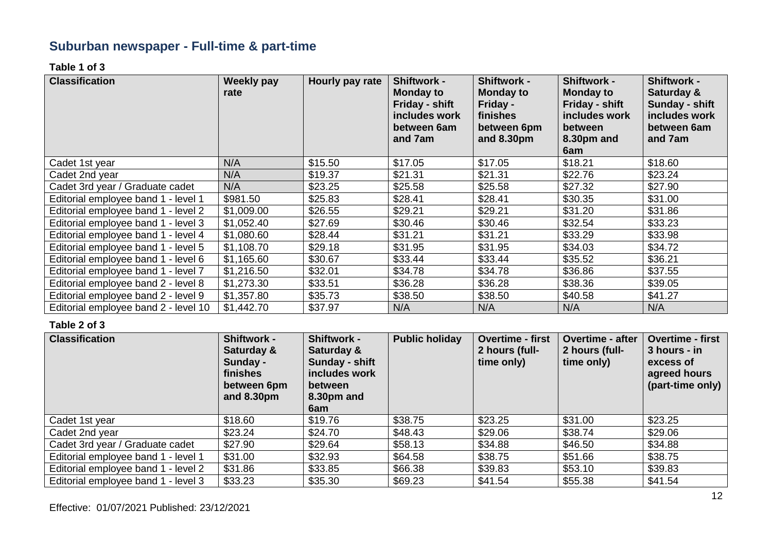# **Suburban newspaper - Full-time & part-time**

**Table 1 of 3**

| <b>Classification</b>                | Weekly pay<br>rate | Hourly pay rate | <b>Shiftwork -</b><br><b>Monday to</b><br>Friday - shift<br>includes work<br>between 6am<br>and 7am | <b>Shiftwork -</b><br><b>Monday to</b><br>Friday -<br>finishes<br>between 6pm<br>and 8.30pm | <b>Shiftwork -</b><br><b>Monday to</b><br>Friday - shift<br>includes work<br>between<br>8.30pm and<br>6am | <b>Shiftwork -</b><br>Saturday &<br><b>Sunday - shift</b><br>includes work<br>between 6am<br>and 7am |
|--------------------------------------|--------------------|-----------------|-----------------------------------------------------------------------------------------------------|---------------------------------------------------------------------------------------------|-----------------------------------------------------------------------------------------------------------|------------------------------------------------------------------------------------------------------|
| Cadet 1st year                       | N/A                | \$15.50         | \$17.05                                                                                             | \$17.05                                                                                     | \$18.21                                                                                                   | \$18.60                                                                                              |
| Cadet 2nd year                       | N/A                | \$19.37         | \$21.31                                                                                             | \$21.31                                                                                     | \$22.76                                                                                                   | \$23.24                                                                                              |
| Cadet 3rd year / Graduate cadet      | N/A                | \$23.25         | \$25.58                                                                                             | \$25.58                                                                                     | \$27.32                                                                                                   | \$27.90                                                                                              |
| Editorial employee band 1 - level 1  | \$981.50           | \$25.83         | \$28.41                                                                                             | \$28.41                                                                                     | \$30.35                                                                                                   | \$31.00                                                                                              |
| Editorial employee band 1 - level 2  | \$1,009.00         | \$26.55         | \$29.21                                                                                             | \$29.21                                                                                     | \$31.20                                                                                                   | \$31.86                                                                                              |
| Editorial employee band 1 - level 3  | \$1,052.40         | \$27.69         | \$30.46                                                                                             | \$30.46                                                                                     | \$32.54                                                                                                   | \$33.23                                                                                              |
| Editorial employee band 1 - level 4  | \$1,080.60         | \$28.44         | \$31.21                                                                                             | \$31.21                                                                                     | \$33.29                                                                                                   | \$33.98                                                                                              |
| Editorial employee band 1 - level 5  | \$1,108.70         | \$29.18         | \$31.95                                                                                             | \$31.95                                                                                     | \$34.03                                                                                                   | \$34.72                                                                                              |
| Editorial employee band 1 - level 6  | \$1,165.60         | \$30.67         | \$33.44                                                                                             | \$33.44                                                                                     | \$35.52                                                                                                   | \$36.21                                                                                              |
| Editorial employee band 1 - level 7  | \$1,216.50         | \$32.01         | \$34.78                                                                                             | \$34.78                                                                                     | \$36.86                                                                                                   | \$37.55                                                                                              |
| Editorial employee band 2 - level 8  | \$1,273.30         | \$33.51         | \$36.28                                                                                             | \$36.28                                                                                     | \$38.36                                                                                                   | \$39.05                                                                                              |
| Editorial employee band 2 - level 9  | \$1,357.80         | \$35.73         | \$38.50                                                                                             | \$38.50                                                                                     | \$40.58                                                                                                   | \$41.27                                                                                              |
| Editorial employee band 2 - level 10 | \$1,442.70         | \$37.97         | N/A                                                                                                 | N/A                                                                                         | N/A                                                                                                       | N/A                                                                                                  |

| <b>Classification</b>               | <b>Shiftwork -</b><br>Saturday &<br>Sunday -<br>finishes<br>between 6pm<br>and $8.30pm$ | <b>Shiftwork -</b><br>Saturday &<br>Sunday - shift<br>includes work<br>between<br>8.30pm and<br>6am | <b>Public holiday</b> | <b>Overtime - first</b><br>2 hours (full-<br>time only) | <b>Overtime - after</b><br>2 hours (full-<br>time only) | <b>Overtime - first</b><br>3 hours - in<br>excess of<br>agreed hours<br>(part-time only) |
|-------------------------------------|-----------------------------------------------------------------------------------------|-----------------------------------------------------------------------------------------------------|-----------------------|---------------------------------------------------------|---------------------------------------------------------|------------------------------------------------------------------------------------------|
| Cadet 1st year                      | \$18.60                                                                                 | \$19.76                                                                                             | \$38.75               | \$23.25                                                 | \$31.00                                                 | \$23.25                                                                                  |
| Cadet 2nd year                      | \$23.24                                                                                 | \$24.70                                                                                             | \$48.43               | \$29.06                                                 | \$38.74                                                 | \$29.06                                                                                  |
| Cadet 3rd year / Graduate cadet     | \$27.90                                                                                 | \$29.64                                                                                             | \$58.13               | \$34.88                                                 | \$46.50                                                 | \$34.88                                                                                  |
| Editorial employee band 1 - level 1 | \$31.00                                                                                 | \$32.93                                                                                             | \$64.58               | \$38.75                                                 | \$51.66                                                 | \$38.75                                                                                  |
| Editorial employee band 1 - level 2 | \$31.86                                                                                 | \$33.85                                                                                             | \$66.38               | \$39.83                                                 | \$53.10                                                 | \$39.83                                                                                  |
| Editorial employee band 1 - level 3 | \$33.23                                                                                 | \$35.30                                                                                             | \$69.23               | \$41.54                                                 | \$55.38                                                 | \$41.54                                                                                  |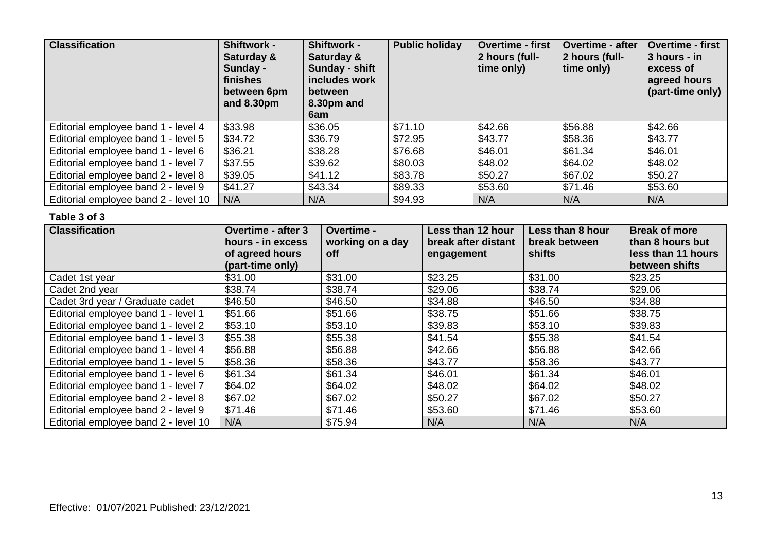| <b>Classification</b>                | <b>Shiftwork -</b><br>Saturday &<br>Sunday -<br>finishes<br>between 6pm<br>and $8.30pm$ | <b>Shiftwork -</b><br>Saturday &<br>Sunday - shift<br>includes work<br>between<br>8.30pm and<br>6am | <b>Public holiday</b> | <b>Overtime - first</b><br>2 hours (full-<br>time only) | <b>Overtime - after</b><br>2 hours (full-<br>time only) | <b>Overtime - first</b><br>3 hours - in<br>excess of<br>agreed hours<br>(part-time only) |
|--------------------------------------|-----------------------------------------------------------------------------------------|-----------------------------------------------------------------------------------------------------|-----------------------|---------------------------------------------------------|---------------------------------------------------------|------------------------------------------------------------------------------------------|
| Editorial employee band 1 - level 4  | \$33.98                                                                                 | \$36.05                                                                                             | \$71.10               | \$42.66                                                 | \$56.88                                                 | \$42.66                                                                                  |
| Editorial employee band 1 - level 5  | \$34.72                                                                                 | \$36.79                                                                                             | \$72.95               | \$43.77                                                 | \$58.36                                                 | \$43.77                                                                                  |
| Editorial employee band 1 - level 6  | \$36.21                                                                                 | \$38.28                                                                                             | \$76.68               | \$46.01                                                 | \$61.34                                                 | \$46.01                                                                                  |
| Editorial employee band 1 - level 7  | \$37.55                                                                                 | \$39.62                                                                                             | \$80.03               | \$48.02                                                 | \$64.02                                                 | \$48.02                                                                                  |
| Editorial employee band 2 - level 8  | \$39.05                                                                                 | \$41.12                                                                                             | \$83.78               | \$50.27                                                 | \$67.02                                                 | \$50.27                                                                                  |
| Editorial employee band 2 - level 9  | \$41.27                                                                                 | \$43.34                                                                                             | \$89.33               | \$53.60                                                 | \$71.46                                                 | \$53.60                                                                                  |
| Editorial employee band 2 - level 10 | N/A                                                                                     | N/A                                                                                                 | \$94.93               | N/A                                                     | N/A                                                     | N/A                                                                                      |

| <b>Classification</b>                | <b>Overtime - after 3</b><br>hours - in excess<br>of agreed hours<br>(part-time only) | Overtime -<br>working on a day<br><b>off</b> | Less than 12 hour<br>break after distant<br>engagement | Less than 8 hour<br>break between<br>shifts | <b>Break of more</b><br>than 8 hours but<br>less than 11 hours<br>between shifts |
|--------------------------------------|---------------------------------------------------------------------------------------|----------------------------------------------|--------------------------------------------------------|---------------------------------------------|----------------------------------------------------------------------------------|
| Cadet 1st year                       | \$31.00                                                                               | \$31.00                                      | \$23.25                                                | \$31.00                                     | \$23.25                                                                          |
| Cadet 2nd year                       | \$38.74                                                                               | \$38.74                                      | \$29.06                                                | \$38.74                                     | \$29.06                                                                          |
| Cadet 3rd year / Graduate cadet      | \$46.50                                                                               | \$46.50                                      | \$34.88                                                | \$46.50                                     | \$34.88                                                                          |
| Editorial employee band 1 - level 1  | \$51.66                                                                               | \$51.66                                      | \$38.75                                                | \$51.66                                     | \$38.75                                                                          |
| Editorial employee band 1 - level 2  | \$53.10                                                                               | \$53.10                                      | \$39.83                                                | \$53.10                                     | \$39.83                                                                          |
| Editorial employee band 1 - level 3  | \$55.38                                                                               | \$55.38                                      | \$41.54                                                | \$55.38                                     | \$41.54                                                                          |
| Editorial employee band 1 - level 4  | \$56.88                                                                               | \$56.88                                      | \$42.66                                                | \$56.88                                     | \$42.66                                                                          |
| Editorial employee band 1 - level 5  | \$58.36                                                                               | \$58.36                                      | \$43.77                                                | \$58.36                                     | \$43.77                                                                          |
| Editorial employee band 1 - level 6  | \$61.34                                                                               | \$61.34                                      | \$46.01                                                | \$61.34                                     | \$46.01                                                                          |
| Editorial employee band 1 - level 7  | \$64.02                                                                               | \$64.02                                      | \$48.02                                                | \$64.02                                     | \$48.02                                                                          |
| Editorial employee band 2 - level 8  | \$67.02                                                                               | \$67.02                                      | \$50.27                                                | \$67.02                                     | \$50.27                                                                          |
| Editorial employee band 2 - level 9  | \$71.46                                                                               | \$71.46                                      | \$53.60                                                | \$71.46                                     | \$53.60                                                                          |
| Editorial employee band 2 - level 10 | N/A                                                                                   | \$75.94                                      | N/A                                                    | N/A                                         | N/A                                                                              |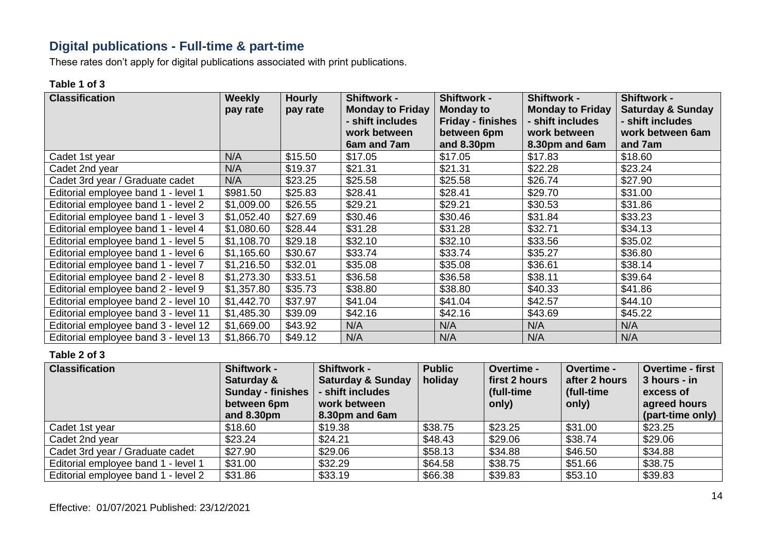### **Digital publications - Full-time & part-time**

These rates don't apply for digital publications associated with print publications.

#### **Table 1 of 3**

| <b>Classification</b>                | <b>Weekly</b> | <b>Hourly</b> | <b>Shiftwork -</b>      | <b>Shiftwork -</b>       | <b>Shiftwork -</b>      | <b>Shiftwork -</b>           |
|--------------------------------------|---------------|---------------|-------------------------|--------------------------|-------------------------|------------------------------|
|                                      | pay rate      | pay rate      | <b>Monday to Friday</b> | <b>Monday to</b>         | <b>Monday to Friday</b> | <b>Saturday &amp; Sunday</b> |
|                                      |               |               | - shift includes        | <b>Friday - finishes</b> | - shift includes        | - shift includes             |
|                                      |               |               | work between            | between 6pm              | work between            | work between 6am             |
|                                      |               |               | 6am and 7am             | and $8.30pm$             | 8.30pm and 6am          | and 7am                      |
| Cadet 1st year                       | N/A           | \$15.50       | \$17.05                 | \$17.05                  | \$17.83                 | \$18.60                      |
| Cadet 2nd year                       | N/A           | \$19.37       | \$21.31                 | \$21.31                  | \$22.28                 | \$23.24                      |
| Cadet 3rd year / Graduate cadet      | N/A           | \$23.25       | \$25.58                 | \$25.58                  | \$26.74                 | \$27.90                      |
| Editorial employee band 1 - level 1  | \$981.50      | \$25.83       | \$28.41                 | \$28.41                  | \$29.70                 | \$31.00                      |
| Editorial employee band 1 - level 2  | \$1,009.00    | \$26.55       | \$29.21                 | \$29.21                  | \$30.53                 | \$31.86                      |
| Editorial employee band 1 - level 3  | \$1,052.40    | \$27.69       | \$30.46                 | \$30.46                  | \$31.84                 | \$33.23                      |
| Editorial employee band 1 - level 4  | \$1,080.60    | \$28.44       | \$31.28                 | \$31.28                  | \$32.71                 | \$34.13                      |
| Editorial employee band 1 - level 5  | \$1,108.70    | \$29.18       | \$32.10                 | \$32.10                  | \$33.56                 | \$35.02                      |
| Editorial employee band 1 - level 6  | \$1,165.60    | \$30.67       | \$33.74                 | \$33.74                  | \$35.27                 | \$36.80                      |
| Editorial employee band 1 - level 7  | \$1,216.50    | \$32.01       | \$35.08                 | \$35.08                  | \$36.61                 | \$38.14                      |
| Editorial employee band 2 - level 8  | \$1,273.30    | \$33.51       | \$36.58                 | \$36.58                  | \$38.11                 | \$39.64                      |
| Editorial employee band 2 - level 9  | \$1,357.80    | \$35.73       | \$38.80                 | \$38.80                  | \$40.33                 | \$41.86                      |
| Editorial employee band 2 - level 10 | \$1,442.70    | \$37.97       | \$41.04                 | \$41.04                  | \$42.57                 | \$44.10                      |
| Editorial employee band 3 - level 11 | \$1,485.30    | \$39.09       | \$42.16                 | \$42.16                  | \$43.69                 | \$45.22                      |
| Editorial employee band 3 - level 12 | \$1,669.00    | \$43.92       | N/A                     | N/A                      | N/A                     | N/A                          |
| Editorial employee band 3 - level 13 | \$1,866.70    | \$49.12       | N/A                     | N/A                      | N/A                     | N/A                          |

| <b>Classification</b>               | <b>Shiftwork -</b><br>Saturday &<br><b>Sunday - finishes</b><br>between 6pm<br>and 8.30pm | <b>Shiftwork -</b><br><b>Saturday &amp; Sunday</b><br>- shift includes<br>work between<br>8.30pm and 6am | <b>Public</b><br>holiday | Overtime -<br>first 2 hours<br>(full-time)<br>only) | <b>Overtime -</b><br>after 2 hours<br>full-time<br>only) | Overtime - first<br>3 hours - in<br>excess of<br>agreed hours<br>(part-time only) |
|-------------------------------------|-------------------------------------------------------------------------------------------|----------------------------------------------------------------------------------------------------------|--------------------------|-----------------------------------------------------|----------------------------------------------------------|-----------------------------------------------------------------------------------|
| Cadet 1st year                      | \$18.60                                                                                   | \$19.38                                                                                                  | \$38.75                  | \$23.25                                             | \$31.00                                                  | \$23.25                                                                           |
| Cadet 2nd year                      | \$23.24                                                                                   | \$24.21                                                                                                  | \$48.43                  | \$29.06                                             | \$38.74                                                  | \$29.06                                                                           |
| Cadet 3rd year / Graduate cadet     | \$27.90                                                                                   | \$29.06                                                                                                  | \$58.13                  | \$34.88                                             | \$46.50                                                  | \$34.88                                                                           |
| Editorial employee band 1 - level 1 | \$31.00                                                                                   | \$32.29                                                                                                  | \$64.58                  | \$38.75                                             | \$51.66                                                  | \$38.75                                                                           |
| Editorial employee band 1 - level 2 | \$31.86                                                                                   | \$33.19                                                                                                  | \$66.38                  | \$39.83                                             | \$53.10                                                  | \$39.83                                                                           |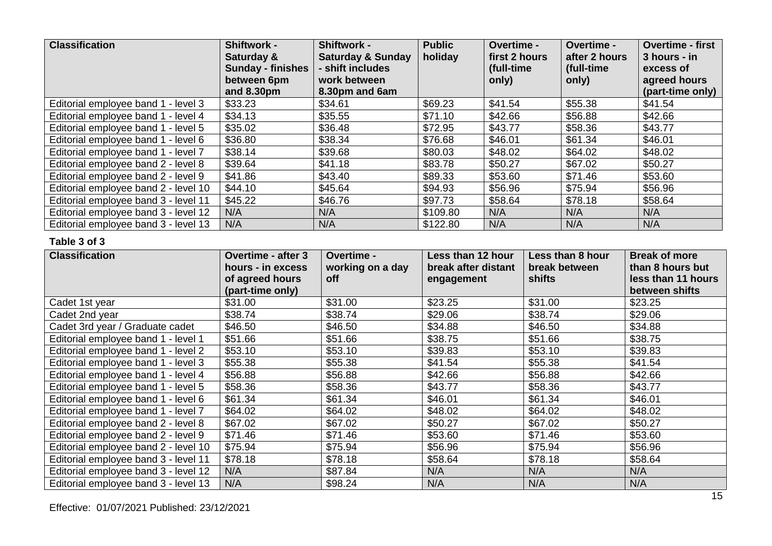| <b>Classification</b>                | Shiftwork -<br>Saturday &<br><b>Sunday - finishes</b><br>between 6pm | <b>Shiftwork -</b><br><b>Saturday &amp; Sunday</b><br>- shift includes<br>work between | <b>Public</b><br>holiday | <b>Overtime -</b><br>first 2 hours<br>(full-time<br>only) | <b>Overtime -</b><br>after 2 hours<br>(full-time)<br>only) | <b>Overtime - first</b><br>3 hours - in<br>excess of<br>agreed hours |
|--------------------------------------|----------------------------------------------------------------------|----------------------------------------------------------------------------------------|--------------------------|-----------------------------------------------------------|------------------------------------------------------------|----------------------------------------------------------------------|
|                                      | and 8.30pm                                                           | 8.30pm and 6am                                                                         |                          |                                                           |                                                            | (part-time only)                                                     |
| Editorial employee band 1 - level 3  | \$33.23                                                              | \$34.61                                                                                | \$69.23                  | \$41.54                                                   | \$55.38                                                    | \$41.54                                                              |
| Editorial employee band 1 - level 4  | \$34.13                                                              | \$35.55                                                                                | \$71.10                  | \$42.66                                                   | \$56.88                                                    | \$42.66                                                              |
| Editorial employee band 1 - level 5  | \$35.02                                                              | \$36.48                                                                                | \$72.95                  | \$43.77                                                   | \$58.36                                                    | \$43.77                                                              |
| Editorial employee band 1 - level 6  | \$36.80                                                              | \$38.34                                                                                | \$76.68                  | \$46.01                                                   | \$61.34                                                    | \$46.01                                                              |
| Editorial employee band 1 - level 7  | \$38.14                                                              | \$39.68                                                                                | \$80.03                  | \$48.02                                                   | \$64.02                                                    | \$48.02                                                              |
| Editorial employee band 2 - level 8  | \$39.64                                                              | \$41.18                                                                                | \$83.78                  | \$50.27                                                   | \$67.02                                                    | \$50.27                                                              |
| Editorial employee band 2 - level 9  | \$41.86                                                              | \$43.40                                                                                | \$89.33                  | \$53.60                                                   | \$71.46                                                    | \$53.60                                                              |
| Editorial employee band 2 - level 10 | \$44.10                                                              | \$45.64                                                                                | \$94.93                  | \$56.96                                                   | \$75.94                                                    | \$56.96                                                              |
| Editorial employee band 3 - level 11 | \$45.22                                                              | \$46.76                                                                                | \$97.73                  | \$58.64                                                   | \$78.18                                                    | \$58.64                                                              |
| Editorial employee band 3 - level 12 | N/A                                                                  | N/A                                                                                    | \$109.80                 | N/A                                                       | N/A                                                        | N/A                                                                  |
| Editorial employee band 3 - level 13 | N/A                                                                  | N/A                                                                                    | \$122.80                 | N/A                                                       | N/A                                                        | N/A                                                                  |

| <b>Classification</b>                | <b>Overtime - after 3</b><br>hours - in excess<br>of agreed hours<br>(part-time only) | Overtime -<br>working on a day<br>off | Less than 12 hour<br>break after distant<br>engagement | Less than 8 hour<br>break between<br>shifts | <b>Break of more</b><br>than 8 hours but<br>less than 11 hours<br>between shifts |
|--------------------------------------|---------------------------------------------------------------------------------------|---------------------------------------|--------------------------------------------------------|---------------------------------------------|----------------------------------------------------------------------------------|
| Cadet 1st year                       | \$31.00                                                                               | \$31.00                               | \$23.25                                                | \$31.00                                     | \$23.25                                                                          |
| Cadet 2nd year                       | \$38.74                                                                               | \$38.74                               | \$29.06                                                | \$38.74                                     | \$29.06                                                                          |
| Cadet 3rd year / Graduate cadet      | \$46.50                                                                               | \$46.50                               | \$34.88                                                | \$46.50                                     | \$34.88                                                                          |
| Editorial employee band 1 - level 1  | \$51.66                                                                               | \$51.66                               | \$38.75                                                | \$51.66                                     | \$38.75                                                                          |
| Editorial employee band 1 - level 2  | \$53.10                                                                               | \$53.10                               | \$39.83                                                | \$53.10                                     | \$39.83                                                                          |
| Editorial employee band 1 - level 3  | \$55.38                                                                               | \$55.38                               | \$41.54                                                | \$55.38                                     | \$41.54                                                                          |
| Editorial employee band 1 - level 4  | \$56.88                                                                               | \$56.88                               | \$42.66                                                | \$56.88                                     | \$42.66                                                                          |
| Editorial employee band 1 - level 5  | \$58.36                                                                               | \$58.36                               | \$43.77                                                | \$58.36                                     | \$43.77                                                                          |
| Editorial employee band 1 - level 6  | \$61.34                                                                               | \$61.34                               | \$46.01                                                | \$61.34                                     | \$46.01                                                                          |
| Editorial employee band 1 - level 7  | \$64.02                                                                               | \$64.02                               | \$48.02                                                | \$64.02                                     | \$48.02                                                                          |
| Editorial employee band 2 - level 8  | \$67.02                                                                               | \$67.02                               | \$50.27                                                | \$67.02                                     | \$50.27                                                                          |
| Editorial employee band 2 - level 9  | \$71.46                                                                               | \$71.46                               | \$53.60                                                | \$71.46                                     | \$53.60                                                                          |
| Editorial employee band 2 - level 10 | \$75.94                                                                               | \$75.94                               | \$56.96                                                | \$75.94                                     | \$56.96                                                                          |
| Editorial employee band 3 - level 11 | \$78.18                                                                               | \$78.18                               | \$58.64                                                | \$78.18                                     | \$58.64                                                                          |
| Editorial employee band 3 - level 12 | N/A                                                                                   | \$87.84                               | N/A                                                    | N/A                                         | N/A                                                                              |
| Editorial employee band 3 - level 13 | N/A                                                                                   | \$98.24                               | N/A                                                    | N/A                                         | N/A                                                                              |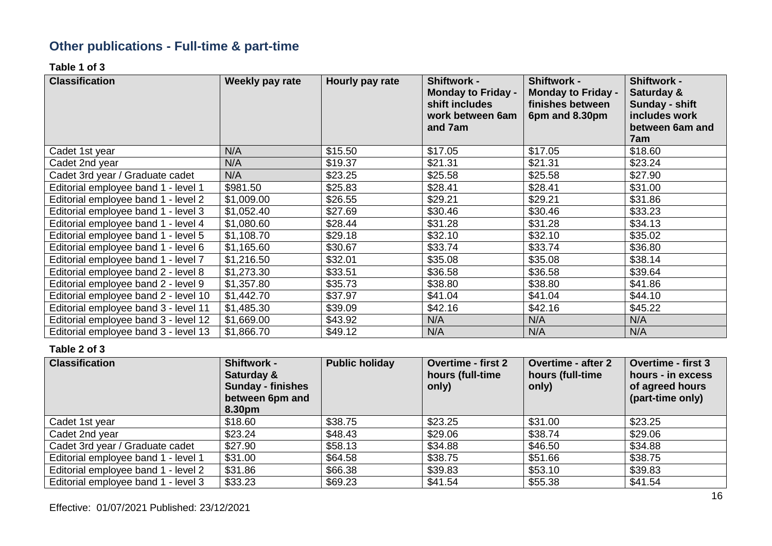# **Other publications - Full-time & part-time**

**Table 1 of 3**

| <b>Classification</b>                | Weekly pay rate | Hourly pay rate | <b>Shiftwork -</b><br><b>Monday to Friday -</b><br>shift includes<br>work between 6am<br>and 7am | <b>Shiftwork -</b><br><b>Monday to Friday -</b><br>finishes between<br>6pm and 8.30pm | <b>Shiftwork -</b><br>Saturday &<br>Sunday - shift<br>includes work<br>between 6am and<br>7am |
|--------------------------------------|-----------------|-----------------|--------------------------------------------------------------------------------------------------|---------------------------------------------------------------------------------------|-----------------------------------------------------------------------------------------------|
| Cadet 1st year                       | N/A             | \$15.50         | \$17.05                                                                                          | \$17.05                                                                               | \$18.60                                                                                       |
| Cadet 2nd year                       | N/A             | \$19.37         | \$21.31                                                                                          | \$21.31                                                                               | \$23.24                                                                                       |
| Cadet 3rd year / Graduate cadet      | N/A             | \$23.25         | \$25.58                                                                                          | \$25.58                                                                               | \$27.90                                                                                       |
| Editorial employee band 1 - level 1  | \$981.50        | \$25.83         | \$28.41                                                                                          | \$28.41                                                                               | \$31.00                                                                                       |
| Editorial employee band 1 - level 2  | \$1,009.00      | \$26.55         | \$29.21                                                                                          | \$29.21                                                                               | \$31.86                                                                                       |
| Editorial employee band 1 - level 3  | \$1,052.40      | \$27.69         | \$30.46                                                                                          | \$30.46                                                                               | \$33.23                                                                                       |
| Editorial employee band 1 - level 4  | \$1,080.60      | \$28.44         | \$31.28                                                                                          | \$31.28                                                                               | \$34.13                                                                                       |
| Editorial employee band 1 - level 5  | \$1,108.70      | \$29.18         | \$32.10                                                                                          | \$32.10                                                                               | \$35.02                                                                                       |
| Editorial employee band 1 - level 6  | \$1,165.60      | \$30.67         | \$33.74                                                                                          | \$33.74                                                                               | \$36.80                                                                                       |
| Editorial employee band 1 - level 7  | \$1,216.50      | \$32.01         | \$35.08                                                                                          | \$35.08                                                                               | \$38.14                                                                                       |
| Editorial employee band 2 - level 8  | \$1,273.30      | \$33.51         | \$36.58                                                                                          | \$36.58                                                                               | \$39.64                                                                                       |
| Editorial employee band 2 - level 9  | \$1,357.80      | \$35.73         | \$38.80                                                                                          | \$38.80                                                                               | \$41.86                                                                                       |
| Editorial employee band 2 - level 10 | \$1,442.70      | \$37.97         | \$41.04                                                                                          | \$41.04                                                                               | \$44.10                                                                                       |
| Editorial employee band 3 - level 11 | \$1,485.30      | \$39.09         | \$42.16                                                                                          | \$42.16                                                                               | \$45.22                                                                                       |
| Editorial employee band 3 - level 12 | \$1,669.00      | \$43.92         | N/A                                                                                              | N/A                                                                                   | N/A                                                                                           |
| Editorial employee band 3 - level 13 | \$1,866.70      | \$49.12         | N/A                                                                                              | N/A                                                                                   | N/A                                                                                           |

| <b>Classification</b>               | <b>Shiftwork -</b><br>Saturday &<br><b>Sunday - finishes</b><br>between 6pm and<br>8.30pm | <b>Public holiday</b> | <b>Overtime - first 2</b><br>hours (full-time<br>only) | <b>Overtime - after 2</b><br>hours (full-time<br>only) | <b>Overtime - first 3</b><br>hours - in excess<br>of agreed hours<br>(part-time only) |
|-------------------------------------|-------------------------------------------------------------------------------------------|-----------------------|--------------------------------------------------------|--------------------------------------------------------|---------------------------------------------------------------------------------------|
| Cadet 1st year                      | \$18.60                                                                                   | \$38.75               | \$23.25                                                | \$31.00                                                | \$23.25                                                                               |
| Cadet 2nd year                      | \$23.24                                                                                   | \$48.43               | \$29.06                                                | \$38.74                                                | \$29.06                                                                               |
| Cadet 3rd year / Graduate cadet     | \$27.90                                                                                   | \$58.13               | \$34.88                                                | \$46.50                                                | \$34.88                                                                               |
| Editorial employee band 1 - level 1 | \$31.00                                                                                   | \$64.58               | \$38.75                                                | \$51.66                                                | \$38.75                                                                               |
| Editorial employee band 1 - level 2 | \$31.86                                                                                   | \$66.38               | \$39.83                                                | \$53.10                                                | \$39.83                                                                               |
| Editorial employee band 1 - level 3 | \$33.23                                                                                   | \$69.23               | \$41.54                                                | \$55.38                                                | \$41.54                                                                               |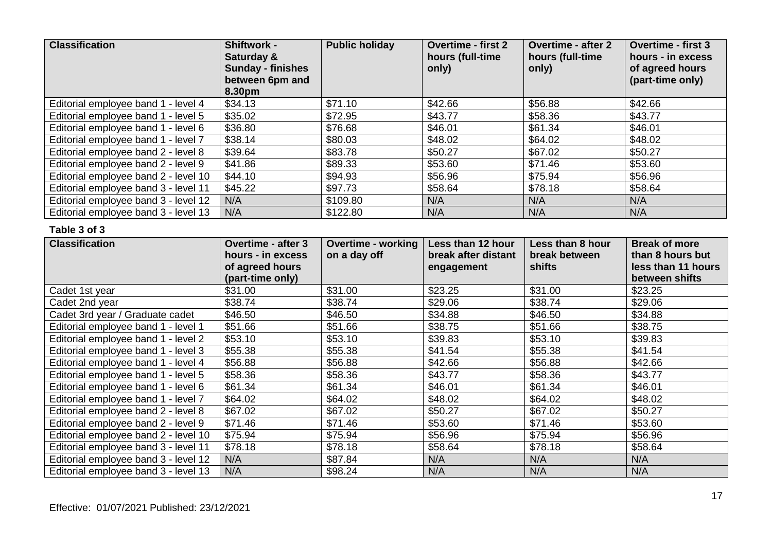| <b>Classification</b>                | <b>Shiftwork -</b><br>Saturday &<br><b>Sunday - finishes</b><br>between 6pm and<br>8.30pm | <b>Public holiday</b> | <b>Overtime - first 2</b><br>hours (full-time<br>only) | <b>Overtime - after 2</b><br>hours (full-time<br>only) | <b>Overtime - first 3</b><br>hours - in excess<br>of agreed hours<br>(part-time only) |
|--------------------------------------|-------------------------------------------------------------------------------------------|-----------------------|--------------------------------------------------------|--------------------------------------------------------|---------------------------------------------------------------------------------------|
| Editorial employee band 1 - level 4  | \$34.13                                                                                   | \$71.10               | \$42.66                                                | \$56.88                                                | \$42.66                                                                               |
| Editorial employee band 1 - level 5  | \$35.02                                                                                   | \$72.95               | \$43.77                                                | \$58.36                                                | \$43.77                                                                               |
| Editorial employee band 1 - level 6  | \$36.80                                                                                   | \$76.68               | \$46.01                                                | \$61.34                                                | \$46.01                                                                               |
| Editorial employee band 1 - level 7  | \$38.14                                                                                   | \$80.03               | \$48.02                                                | \$64.02                                                | \$48.02                                                                               |
| Editorial employee band 2 - level 8  | \$39.64                                                                                   | \$83.78               | \$50.27                                                | \$67.02                                                | \$50.27                                                                               |
| Editorial employee band 2 - level 9  | \$41.86                                                                                   | \$89.33               | \$53.60                                                | \$71.46                                                | \$53.60                                                                               |
| Editorial employee band 2 - level 10 | \$44.10                                                                                   | \$94.93               | \$56.96                                                | \$75.94                                                | \$56.96                                                                               |
| Editorial employee band 3 - level 11 | \$45.22                                                                                   | \$97.73               | \$58.64                                                | \$78.18                                                | \$58.64                                                                               |
| Editorial employee band 3 - level 12 | N/A                                                                                       | \$109.80              | N/A                                                    | N/A                                                    | N/A                                                                                   |
| Editorial employee band 3 - level 13 | N/A                                                                                       | \$122.80              | N/A                                                    | N/A                                                    | N/A                                                                                   |

| <b>Classification</b>                | <b>Overtime - after 3</b><br>hours - in excess<br>of agreed hours<br>(part-time only) | <b>Overtime - working</b><br>on a day off | Less than 12 hour<br>break after distant<br>engagement | Less than 8 hour<br>break between<br>shifts | <b>Break of more</b><br>than 8 hours but<br>less than 11 hours<br>between shifts |
|--------------------------------------|---------------------------------------------------------------------------------------|-------------------------------------------|--------------------------------------------------------|---------------------------------------------|----------------------------------------------------------------------------------|
| Cadet 1st year                       | \$31.00                                                                               | \$31.00                                   | \$23.25                                                | \$31.00                                     | \$23.25                                                                          |
| Cadet 2nd year                       | \$38.74                                                                               | \$38.74                                   | \$29.06                                                | \$38.74                                     | \$29.06                                                                          |
| Cadet 3rd year / Graduate cadet      | \$46.50                                                                               | \$46.50                                   | \$34.88                                                | \$46.50                                     | \$34.88                                                                          |
| Editorial employee band 1 - level 1  | \$51.66                                                                               | \$51.66                                   | \$38.75                                                | \$51.66                                     | \$38.75                                                                          |
| Editorial employee band 1 - level 2  | \$53.10                                                                               | \$53.10                                   | \$39.83                                                | \$53.10                                     | \$39.83                                                                          |
| Editorial employee band 1 - level 3  | \$55.38                                                                               | \$55.38                                   | \$41.54                                                | \$55.38                                     | \$41.54                                                                          |
| Editorial employee band 1 - level 4  | \$56.88                                                                               | \$56.88                                   | \$42.66                                                | \$56.88                                     | \$42.66                                                                          |
| Editorial employee band 1 - level 5  | \$58.36                                                                               | \$58.36                                   | \$43.77                                                | \$58.36                                     | \$43.77                                                                          |
| Editorial employee band 1 - level 6  | \$61.34                                                                               | \$61.34                                   | \$46.01                                                | \$61.34                                     | \$46.01                                                                          |
| Editorial employee band 1 - level 7  | \$64.02                                                                               | \$64.02                                   | \$48.02                                                | \$64.02                                     | \$48.02                                                                          |
| Editorial employee band 2 - level 8  | \$67.02                                                                               | \$67.02                                   | \$50.27                                                | \$67.02                                     | \$50.27                                                                          |
| Editorial employee band 2 - level 9  | \$71.46                                                                               | \$71.46                                   | \$53.60                                                | \$71.46                                     | \$53.60                                                                          |
| Editorial employee band 2 - level 10 | \$75.94                                                                               | \$75.94                                   | \$56.96                                                | \$75.94                                     | \$56.96                                                                          |
| Editorial employee band 3 - level 11 | \$78.18                                                                               | \$78.18                                   | \$58.64                                                | \$78.18                                     | \$58.64                                                                          |
| Editorial employee band 3 - level 12 | N/A                                                                                   | \$87.84                                   | N/A                                                    | N/A                                         | N/A                                                                              |
| Editorial employee band 3 - level 13 | N/A                                                                                   | \$98.24                                   | N/A                                                    | N/A                                         | N/A                                                                              |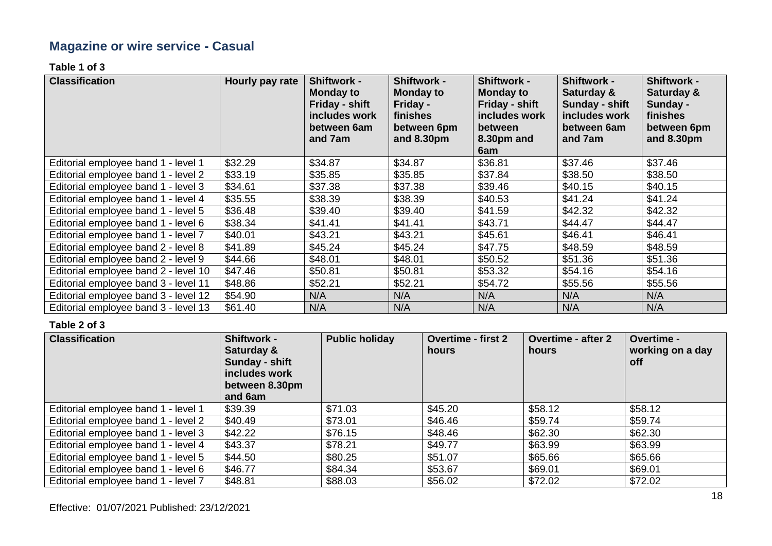# **Magazine or wire service - Casual**

**Table 1 of 3**

| <b>Classification</b>                | Hourly pay rate | <b>Shiftwork -</b><br><b>Monday to</b><br>Friday - shift<br>includes work<br>between 6am<br>and 7am | <b>Shiftwork -</b><br><b>Monday to</b><br>Friday -<br>finishes<br>between 6pm<br>and 8.30pm | <b>Shiftwork -</b><br><b>Monday to</b><br>Friday - shift<br>includes work<br><b>between</b><br>8.30pm and<br>6am | <b>Shiftwork -</b><br>Saturday &<br>Sunday - shift<br>includes work<br>between 6am<br>and 7am | <b>Shiftwork -</b><br>Saturday &<br>Sunday -<br>finishes<br>between 6pm<br>and 8.30pm |
|--------------------------------------|-----------------|-----------------------------------------------------------------------------------------------------|---------------------------------------------------------------------------------------------|------------------------------------------------------------------------------------------------------------------|-----------------------------------------------------------------------------------------------|---------------------------------------------------------------------------------------|
| Editorial employee band 1 - level 1  | \$32.29         | \$34.87                                                                                             | \$34.87                                                                                     | \$36.81                                                                                                          | \$37.46                                                                                       | \$37.46                                                                               |
| Editorial employee band 1 - level 2  | \$33.19         | \$35.85                                                                                             | \$35.85                                                                                     | \$37.84                                                                                                          | \$38.50                                                                                       | \$38.50                                                                               |
| Editorial employee band 1 - level 3  | \$34.61         | \$37.38                                                                                             | \$37.38                                                                                     | \$39.46                                                                                                          | \$40.15                                                                                       | \$40.15                                                                               |
| Editorial employee band 1 - level 4  | \$35.55         | \$38.39                                                                                             | \$38.39                                                                                     | \$40.53                                                                                                          | \$41.24                                                                                       | \$41.24                                                                               |
| Editorial employee band 1 - level 5  | \$36.48         | \$39.40                                                                                             | \$39.40                                                                                     | \$41.59                                                                                                          | \$42.32                                                                                       | \$42.32                                                                               |
| Editorial employee band 1 - level 6  | \$38.34         | \$41.41                                                                                             | \$41.41                                                                                     | \$43.71                                                                                                          | \$44.47                                                                                       | \$44.47                                                                               |
| Editorial employee band 1 - level 7  | \$40.01         | \$43.21                                                                                             | \$43.21                                                                                     | \$45.61                                                                                                          | \$46.41                                                                                       | \$46.41                                                                               |
| Editorial employee band 2 - level 8  | \$41.89         | \$45.24                                                                                             | \$45.24                                                                                     | \$47.75                                                                                                          | \$48.59                                                                                       | \$48.59                                                                               |
| Editorial employee band 2 - level 9  | \$44.66         | \$48.01                                                                                             | \$48.01                                                                                     | \$50.52                                                                                                          | \$51.36                                                                                       | \$51.36                                                                               |
| Editorial employee band 2 - level 10 | \$47.46         | \$50.81                                                                                             | \$50.81                                                                                     | \$53.32                                                                                                          | \$54.16                                                                                       | \$54.16                                                                               |
| Editorial employee band 3 - level 11 | \$48.86         | \$52.21                                                                                             | \$52.21                                                                                     | \$54.72                                                                                                          | \$55.56                                                                                       | \$55.56                                                                               |
| Editorial employee band 3 - level 12 | \$54.90         | N/A                                                                                                 | N/A                                                                                         | N/A                                                                                                              | N/A                                                                                           | N/A                                                                                   |
| Editorial employee band 3 - level 13 | \$61.40         | N/A                                                                                                 | N/A                                                                                         | N/A                                                                                                              | N/A                                                                                           | N/A                                                                                   |

| <b>Classification</b>               | <b>Shiftwork -</b><br>Saturday &<br>Sunday - shift<br>includes work<br>between 8.30pm<br>and 6am | <b>Public holiday</b> | <b>Overtime - first 2</b><br>hours | <b>Overtime - after 2</b><br>hours | Overtime -<br>working on a day<br><b>off</b> |
|-------------------------------------|--------------------------------------------------------------------------------------------------|-----------------------|------------------------------------|------------------------------------|----------------------------------------------|
| Editorial employee band 1 - level 1 | \$39.39                                                                                          | \$71.03               | \$45.20                            | \$58.12                            | \$58.12                                      |
| Editorial employee band 1 - level 2 | \$40.49                                                                                          | \$73.01               | \$46.46                            | \$59.74                            | \$59.74                                      |
| Editorial employee band 1 - level 3 | \$42.22                                                                                          | \$76.15               | \$48.46                            | \$62.30                            | \$62.30                                      |
| Editorial employee band 1 - level 4 | \$43.37                                                                                          | \$78.21               | \$49.77                            | \$63.99                            | \$63.99                                      |
| Editorial employee band 1 - level 5 | \$44.50                                                                                          | \$80.25               | \$51.07                            | \$65.66                            | \$65.66                                      |
| Editorial employee band 1 - level 6 | \$46.77                                                                                          | \$84.34               | \$53.67                            | \$69.01                            | \$69.01                                      |
| Editorial employee band 1 - level 7 | \$48.81                                                                                          | \$88.03               | \$56.02                            | \$72.02                            | \$72.02                                      |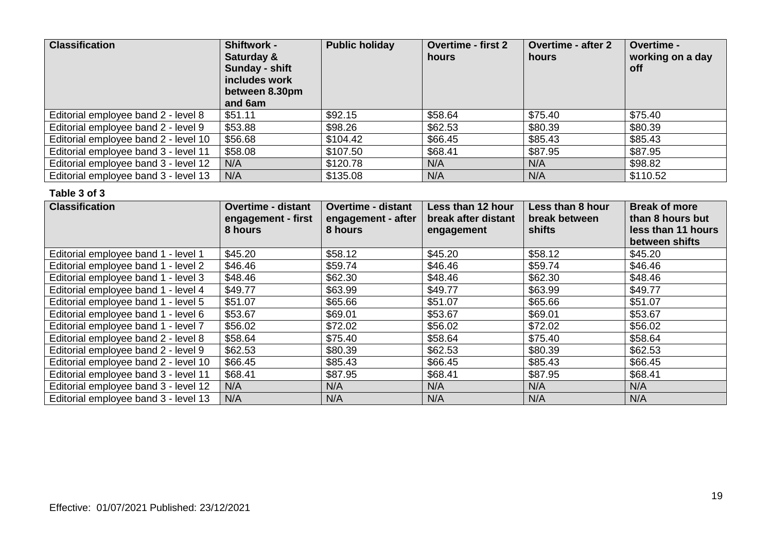| <b>Classification</b>                | <b>Shiftwork -</b><br>Saturday &<br>Sunday - shift<br>includes work<br>between 8.30pm<br>and 6am | <b>Public holiday</b> | <b>Overtime - first 2</b><br>hours | <b>Overtime - after 2</b><br>hours | Overtime -<br>working on a day<br><b>off</b> |
|--------------------------------------|--------------------------------------------------------------------------------------------------|-----------------------|------------------------------------|------------------------------------|----------------------------------------------|
| Editorial employee band 2 - level 8  | \$51.11                                                                                          | \$92.15               | \$58.64                            | \$75.40                            | \$75.40                                      |
| Editorial employee band 2 - level 9  | \$53.88                                                                                          | \$98.26               | \$62.53                            | \$80.39                            | \$80.39                                      |
| Editorial employee band 2 - level 10 | \$56.68                                                                                          | \$104.42              | \$66.45                            | \$85.43                            | \$85.43                                      |
| Editorial employee band 3 - level 11 | \$58.08                                                                                          | \$107.50              | \$68.41                            | \$87.95                            | \$87.95                                      |
| Editorial employee band 3 - level 12 | N/A                                                                                              | \$120.78              | N/A                                | N/A                                | \$98.82                                      |
| Editorial employee band 3 - level 13 | N/A                                                                                              | \$135.08              | N/A                                | N/A                                | \$110.52                                     |

| <b>Classification</b>                | <b>Overtime - distant</b><br>engagement - first<br>8 hours | <b>Overtime - distant</b><br>engagement - after<br>8 hours | Less than 12 hour<br>break after distant<br>engagement | Less than 8 hour<br>break between<br>shifts | <b>Break of more</b><br>than 8 hours but<br>less than 11 hours<br>between shifts |
|--------------------------------------|------------------------------------------------------------|------------------------------------------------------------|--------------------------------------------------------|---------------------------------------------|----------------------------------------------------------------------------------|
| Editorial employee band 1 - level 1  | \$45.20                                                    | \$58.12                                                    | \$45.20                                                | \$58.12                                     | \$45.20                                                                          |
| Editorial employee band 1 - level 2  | \$46.46                                                    | \$59.74                                                    | \$46.46                                                | \$59.74                                     | \$46.46                                                                          |
| Editorial employee band 1 - level 3  | \$48.46                                                    | \$62.30                                                    | \$48.46                                                | \$62.30                                     | \$48.46                                                                          |
| Editorial employee band 1 - level 4  | \$49.77                                                    | \$63.99                                                    | \$49.77                                                | \$63.99                                     | \$49.77                                                                          |
| Editorial employee band 1 - level 5  | \$51.07                                                    | \$65.66                                                    | \$51.07                                                | \$65.66                                     | \$51.07                                                                          |
| Editorial employee band 1 - level 6  | \$53.67                                                    | \$69.01                                                    | \$53.67                                                | \$69.01                                     | \$53.67                                                                          |
| Editorial employee band 1 - level 7  | \$56.02                                                    | \$72.02                                                    | \$56.02                                                | \$72.02                                     | \$56.02                                                                          |
| Editorial employee band 2 - level 8  | \$58.64                                                    | \$75.40                                                    | \$58.64                                                | \$75.40                                     | \$58.64                                                                          |
| Editorial employee band 2 - level 9  | \$62.53                                                    | \$80.39                                                    | \$62.53                                                | \$80.39                                     | \$62.53                                                                          |
| Editorial employee band 2 - level 10 | \$66.45                                                    | \$85.43                                                    | \$66.45                                                | \$85.43                                     | \$66.45                                                                          |
| Editorial employee band 3 - level 11 | \$68.41                                                    | \$87.95                                                    | \$68.41                                                | \$87.95                                     | \$68.41                                                                          |
| Editorial employee band 3 - level 12 | N/A                                                        | N/A                                                        | N/A                                                    | N/A                                         | N/A                                                                              |
| Editorial employee band 3 - level 13 | N/A                                                        | N/A                                                        | N/A                                                    | N/A                                         | N/A                                                                              |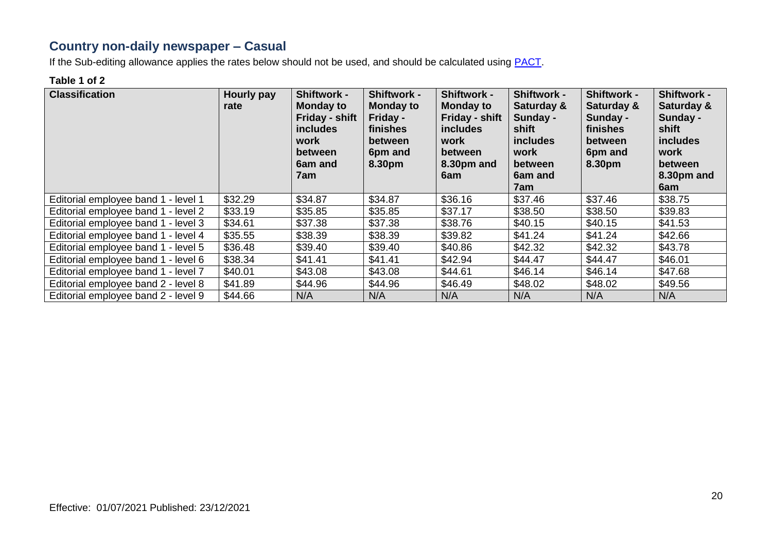### **Country non-daily newspaper – Casual**

If the Sub-editing allowance applies the rates below should not be used, and should be calculated using **PACT**.

#### **Table 1 of 2**

| <b>Classification</b>               | Hourly pay<br>rate | <b>Shiftwork -</b><br><b>Monday to</b><br>Friday - shift<br><i>includes</i><br>work<br><b>between</b><br>6am and<br>7am | <b>Shiftwork -</b><br><b>Monday to</b><br>Friday -<br>finishes<br><b>between</b><br>6pm and<br>8.30pm | <b>Shiftwork -</b><br><b>Monday to</b><br>Friday - shift<br><i>includes</i><br>work<br>between<br>8.30pm and<br>6am | <b>Shiftwork -</b><br>Saturday &<br>Sunday -<br>shift<br><i>includes</i><br>work<br>between<br>6am and<br>7am | <b>Shiftwork -</b><br>Saturday &<br>Sunday -<br>finishes<br>between<br>6pm and<br>8.30pm | <b>Shiftwork -</b><br>Saturday &<br>Sunday -<br>shift<br>includes<br>work<br>between<br>8.30pm and<br>6am |
|-------------------------------------|--------------------|-------------------------------------------------------------------------------------------------------------------------|-------------------------------------------------------------------------------------------------------|---------------------------------------------------------------------------------------------------------------------|---------------------------------------------------------------------------------------------------------------|------------------------------------------------------------------------------------------|-----------------------------------------------------------------------------------------------------------|
| Editorial employee band 1 - level 1 | \$32.29            | \$34.87                                                                                                                 | \$34.87                                                                                               | \$36.16                                                                                                             | \$37.46                                                                                                       | \$37.46                                                                                  | \$38.75                                                                                                   |
| Editorial employee band 1 - level 2 | \$33.19            | \$35.85                                                                                                                 | \$35.85                                                                                               | \$37.17                                                                                                             | \$38.50                                                                                                       | \$38.50                                                                                  | \$39.83                                                                                                   |
| Editorial employee band 1 - level 3 | \$34.61            | \$37.38                                                                                                                 | \$37.38                                                                                               | \$38.76                                                                                                             | \$40.15                                                                                                       | \$40.15                                                                                  | \$41.53                                                                                                   |
| Editorial employee band 1 - level 4 | \$35.55            | \$38.39                                                                                                                 | \$38.39                                                                                               | \$39.82                                                                                                             | \$41.24                                                                                                       | \$41.24                                                                                  | \$42.66                                                                                                   |
| Editorial employee band 1 - level 5 | \$36.48            | \$39.40                                                                                                                 | \$39.40                                                                                               | \$40.86                                                                                                             | \$42.32                                                                                                       | \$42.32                                                                                  | \$43.78                                                                                                   |
| Editorial employee band 1 - level 6 | \$38.34            | \$41.41                                                                                                                 | \$41.41                                                                                               | \$42.94                                                                                                             | \$44.47                                                                                                       | \$44.47                                                                                  | \$46.01                                                                                                   |
| Editorial employee band 1 - level 7 | \$40.01            | \$43.08                                                                                                                 | \$43.08                                                                                               | \$44.61                                                                                                             | \$46.14                                                                                                       | \$46.14                                                                                  | \$47.68                                                                                                   |
| Editorial employee band 2 - level 8 | \$41.89            | \$44.96                                                                                                                 | \$44.96                                                                                               | \$46.49                                                                                                             | \$48.02                                                                                                       | \$48.02                                                                                  | \$49.56                                                                                                   |
| Editorial employee band 2 - level 9 | \$44.66            | N/A                                                                                                                     | N/A                                                                                                   | N/A                                                                                                                 | N/A                                                                                                           | N/A                                                                                      | N/A                                                                                                       |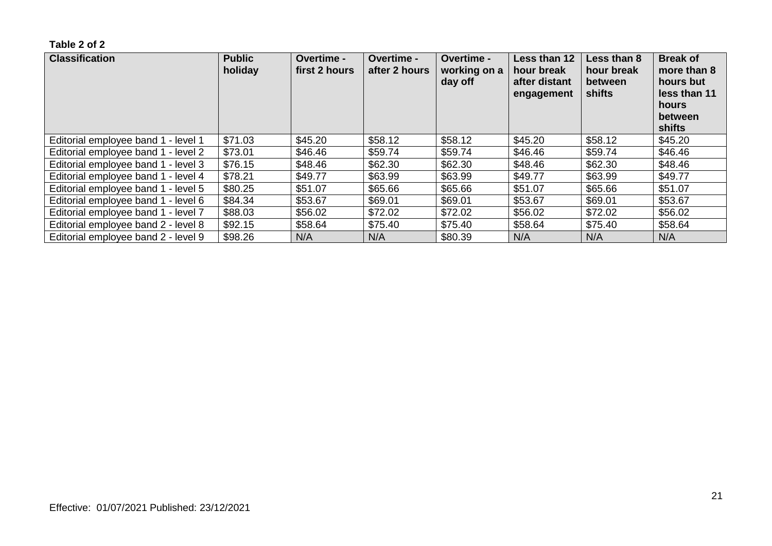| <b>Classification</b>               | <b>Public</b><br>holiday | <b>Overtime -</b><br>first 2 hours | <b>Overtime -</b><br>after 2 hours | Overtime -<br>working on a<br>day off | Less than 12<br>hour break<br>after distant<br>engagement | Less than 8<br>hour break<br>between<br>shifts | <b>Break of</b><br>more than 8<br>hours but<br>less than 11<br>hours<br>between<br>shifts |
|-------------------------------------|--------------------------|------------------------------------|------------------------------------|---------------------------------------|-----------------------------------------------------------|------------------------------------------------|-------------------------------------------------------------------------------------------|
| Editorial employee band 1 - level 1 | \$71.03                  | \$45.20                            | \$58.12                            | \$58.12                               | \$45.20                                                   | \$58.12                                        | \$45.20                                                                                   |
| Editorial employee band 1 - level 2 | \$73.01                  | \$46.46                            | \$59.74                            | \$59.74                               | \$46.46                                                   | \$59.74                                        | \$46.46                                                                                   |
| Editorial employee band 1 - level 3 | \$76.15                  | \$48.46                            | \$62.30                            | \$62.30                               | \$48.46                                                   | \$62.30                                        | \$48.46                                                                                   |
| Editorial employee band 1 - level 4 | \$78.21                  | \$49.77                            | \$63.99                            | \$63.99                               | \$49.77                                                   | \$63.99                                        | \$49.77                                                                                   |
| Editorial employee band 1 - level 5 | \$80.25                  | \$51.07                            | \$65.66                            | \$65.66                               | \$51.07                                                   | \$65.66                                        | \$51.07                                                                                   |
| Editorial employee band 1 - level 6 | \$84.34                  | \$53.67                            | \$69.01                            | \$69.01                               | \$53.67                                                   | \$69.01                                        | \$53.67                                                                                   |
| Editorial employee band 1 - level 7 | \$88.03                  | \$56.02                            | \$72.02                            | \$72.02                               | \$56.02                                                   | \$72.02                                        | \$56.02                                                                                   |
| Editorial employee band 2 - level 8 | \$92.15                  | \$58.64                            | \$75.40                            | \$75.40                               | \$58.64                                                   | \$75.40                                        | \$58.64                                                                                   |
| Editorial employee band 2 - level 9 | \$98.26                  | N/A                                | N/A                                | \$80.39                               | N/A                                                       | N/A                                            | N/A                                                                                       |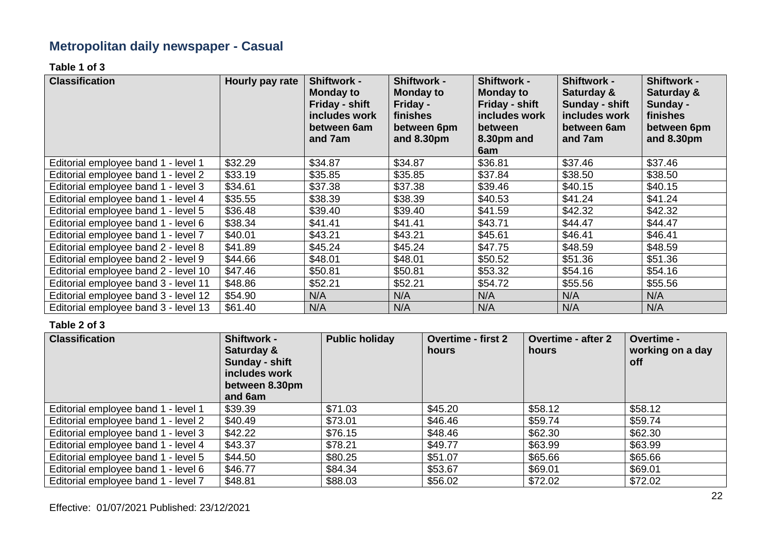# **Metropolitan daily newspaper - Casual**

**Table 1 of 3**

| <b>Classification</b>                | Hourly pay rate | <b>Shiftwork -</b><br><b>Monday to</b><br>Friday - shift<br>includes work<br>between 6am<br>and 7am | <b>Shiftwork -</b><br><b>Monday to</b><br>Friday -<br>finishes<br>between 6pm<br>and 8.30pm | <b>Shiftwork -</b><br><b>Monday to</b><br>Friday - shift<br>includes work<br>between<br>8.30pm and<br>6am | <b>Shiftwork -</b><br>Saturday &<br>Sunday - shift<br>includes work<br>between 6am<br>and 7am | <b>Shiftwork -</b><br>Saturday &<br>Sunday -<br>finishes<br>between 6pm<br>and 8.30pm |
|--------------------------------------|-----------------|-----------------------------------------------------------------------------------------------------|---------------------------------------------------------------------------------------------|-----------------------------------------------------------------------------------------------------------|-----------------------------------------------------------------------------------------------|---------------------------------------------------------------------------------------|
| Editorial employee band 1 - level 1  | \$32.29         | \$34.87                                                                                             | \$34.87                                                                                     | \$36.81                                                                                                   | \$37.46                                                                                       | \$37.46                                                                               |
| Editorial employee band 1 - level 2  | \$33.19         | \$35.85                                                                                             | \$35.85                                                                                     | \$37.84                                                                                                   | \$38.50                                                                                       | \$38.50                                                                               |
| Editorial employee band 1 - level 3  | \$34.61         | \$37.38                                                                                             | \$37.38                                                                                     | \$39.46                                                                                                   | \$40.15                                                                                       | \$40.15                                                                               |
| Editorial employee band 1 - level 4  | \$35.55         | \$38.39                                                                                             | \$38.39                                                                                     | \$40.53                                                                                                   | \$41.24                                                                                       | \$41.24                                                                               |
| Editorial employee band 1 - level 5  | \$36.48         | \$39.40                                                                                             | \$39.40                                                                                     | \$41.59                                                                                                   | \$42.32                                                                                       | \$42.32                                                                               |
| Editorial employee band 1 - level 6  | \$38.34         | \$41.41                                                                                             | \$41.41                                                                                     | \$43.71                                                                                                   | \$44.47                                                                                       | \$44.47                                                                               |
| Editorial employee band 1 - level 7  | \$40.01         | \$43.21                                                                                             | \$43.21                                                                                     | \$45.61                                                                                                   | \$46.41                                                                                       | \$46.41                                                                               |
| Editorial employee band 2 - level 8  | \$41.89         | \$45.24                                                                                             | \$45.24                                                                                     | \$47.75                                                                                                   | \$48.59                                                                                       | \$48.59                                                                               |
| Editorial employee band 2 - level 9  | \$44.66         | \$48.01                                                                                             | \$48.01                                                                                     | \$50.52                                                                                                   | \$51.36                                                                                       | \$51.36                                                                               |
| Editorial employee band 2 - level 10 | \$47.46         | \$50.81                                                                                             | \$50.81                                                                                     | \$53.32                                                                                                   | \$54.16                                                                                       | \$54.16                                                                               |
| Editorial employee band 3 - level 11 | \$48.86         | \$52.21                                                                                             | \$52.21                                                                                     | \$54.72                                                                                                   | \$55.56                                                                                       | \$55.56                                                                               |
| Editorial employee band 3 - level 12 | \$54.90         | N/A                                                                                                 | N/A                                                                                         | N/A                                                                                                       | N/A                                                                                           | N/A                                                                                   |
| Editorial employee band 3 - level 13 | \$61.40         | N/A                                                                                                 | N/A                                                                                         | N/A                                                                                                       | N/A                                                                                           | N/A                                                                                   |

| <b>Classification</b>               | <b>Shiftwork -</b><br>Saturday &<br>Sunday - shift<br>includes work<br>between 8.30pm<br>and 6am | <b>Public holiday</b> | <b>Overtime - first 2</b><br>hours | <b>Overtime - after 2</b><br>hours | Overtime -<br>working on a day<br>off |
|-------------------------------------|--------------------------------------------------------------------------------------------------|-----------------------|------------------------------------|------------------------------------|---------------------------------------|
| Editorial employee band 1 - level 1 | \$39.39                                                                                          | \$71.03               | \$45.20                            | \$58.12                            | \$58.12                               |
| Editorial employee band 1 - level 2 | \$40.49                                                                                          | \$73.01               | \$46.46                            | \$59.74                            | \$59.74                               |
| Editorial employee band 1 - level 3 | \$42.22                                                                                          | \$76.15               | \$48.46                            | \$62.30                            | \$62.30                               |
| Editorial employee band 1 - level 4 | \$43.37                                                                                          | \$78.21               | \$49.77                            | \$63.99                            | \$63.99                               |
| Editorial employee band 1 - level 5 | \$44.50                                                                                          | \$80.25               | \$51.07                            | \$65.66                            | \$65.66                               |
| Editorial employee band 1 - level 6 | \$46.77                                                                                          | \$84.34               | \$53.67                            | \$69.01                            | \$69.01                               |
| Editorial employee band 1 - level 7 | \$48.81                                                                                          | \$88.03               | \$56.02                            | \$72.02                            | \$72.02                               |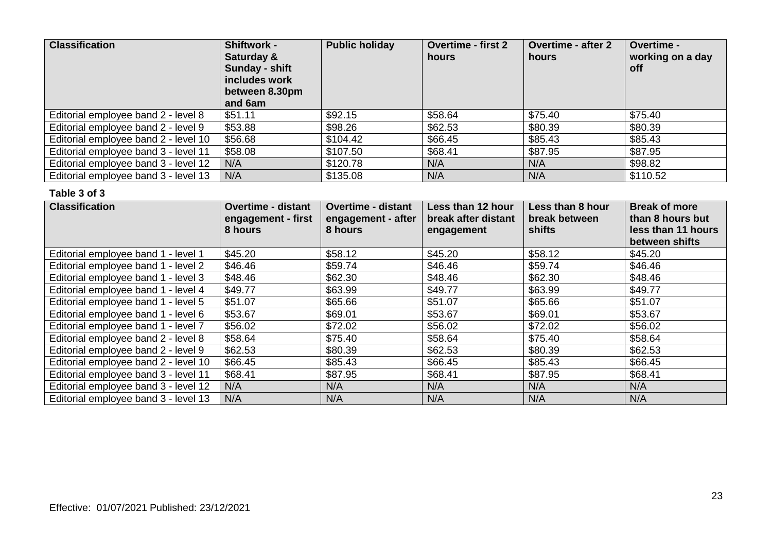| <b>Classification</b>                | <b>Shiftwork -</b><br>Saturday &<br>Sunday - shift<br>includes work<br>between 8.30pm<br>and 6am | <b>Public holiday</b> | <b>Overtime - first 2</b><br>hours | <b>Overtime - after 2</b><br>hours | Overtime -<br>working on a day<br><b>off</b> |
|--------------------------------------|--------------------------------------------------------------------------------------------------|-----------------------|------------------------------------|------------------------------------|----------------------------------------------|
| Editorial employee band 2 - level 8  | \$51.11                                                                                          | \$92.15               | \$58.64                            | \$75.40                            | \$75.40                                      |
| Editorial employee band 2 - level 9  | \$53.88                                                                                          | \$98.26               | \$62.53                            | \$80.39                            | \$80.39                                      |
| Editorial employee band 2 - level 10 | \$56.68                                                                                          | \$104.42              | \$66.45                            | \$85.43                            | \$85.43                                      |
| Editorial employee band 3 - level 11 | \$58.08                                                                                          | \$107.50              | \$68.41                            | \$87.95                            | \$87.95                                      |
| Editorial employee band 3 - level 12 | N/A                                                                                              | \$120.78              | N/A                                | N/A                                | \$98.82                                      |
| Editorial employee band 3 - level 13 | N/A                                                                                              | \$135.08              | N/A                                | N/A                                | \$110.52                                     |

| <b>Classification</b>                | <b>Overtime - distant</b><br>engagement - first<br>8 hours | <b>Overtime - distant</b><br>engagement - after<br>8 hours | Less than 12 hour<br>break after distant<br>engagement | Less than 8 hour<br>break between<br>shifts | <b>Break of more</b><br>than 8 hours but<br>less than 11 hours<br>between shifts |
|--------------------------------------|------------------------------------------------------------|------------------------------------------------------------|--------------------------------------------------------|---------------------------------------------|----------------------------------------------------------------------------------|
| Editorial employee band 1 - level 1  | \$45.20                                                    | \$58.12                                                    | \$45.20                                                | \$58.12                                     | \$45.20                                                                          |
| Editorial employee band 1 - level 2  | \$46.46                                                    | \$59.74                                                    | \$46.46                                                | \$59.74                                     | \$46.46                                                                          |
| Editorial employee band 1 - level 3  | \$48.46                                                    | \$62.30                                                    | \$48.46                                                | \$62.30                                     | \$48.46                                                                          |
| Editorial employee band 1 - level 4  | \$49.77                                                    | \$63.99                                                    | \$49.77                                                | \$63.99                                     | \$49.77                                                                          |
| Editorial employee band 1 - level 5  | \$51.07                                                    | \$65.66                                                    | \$51.07                                                | \$65.66                                     | \$51.07                                                                          |
| Editorial employee band 1 - level 6  | \$53.67                                                    | \$69.01                                                    | \$53.67                                                | \$69.01                                     | \$53.67                                                                          |
| Editorial employee band 1 - level 7  | \$56.02                                                    | \$72.02                                                    | \$56.02                                                | \$72.02                                     | \$56.02                                                                          |
| Editorial employee band 2 - level 8  | \$58.64                                                    | \$75.40                                                    | \$58.64                                                | \$75.40                                     | \$58.64                                                                          |
| Editorial employee band 2 - level 9  | \$62.53                                                    | \$80.39                                                    | \$62.53                                                | \$80.39                                     | \$62.53                                                                          |
| Editorial employee band 2 - level 10 | \$66.45                                                    | \$85.43                                                    | \$66.45                                                | \$85.43                                     | \$66.45                                                                          |
| Editorial employee band 3 - level 11 | \$68.41                                                    | \$87.95                                                    | \$68.41                                                | \$87.95                                     | \$68.41                                                                          |
| Editorial employee band 3 - level 12 | N/A                                                        | N/A                                                        | N/A                                                    | N/A                                         | N/A                                                                              |
| Editorial employee band 3 - level 13 | N/A                                                        | N/A                                                        | N/A                                                    | N/A                                         | N/A                                                                              |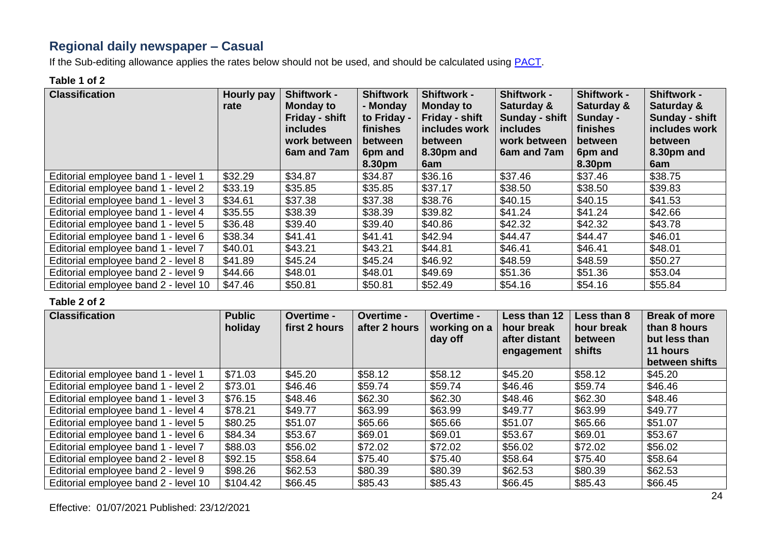# **Regional daily newspaper – Casual**

If the Sub-editing allowance applies the rates below should not be used, and should be calculated using **PACT**.

#### **Table 1 of 2**

| <b>Classification</b>                | Hourly pay<br>rate | <b>Shiftwork -</b><br><b>Monday to</b><br>Friday - shift<br><b>includes</b><br>work between | <b>Shiftwork</b><br>- Monday<br>to Friday -<br>finishes<br>between | <b>Shiftwork -</b><br><b>Monday to</b><br>Friday - shift<br>includes work<br>between | <b>Shiftwork -</b><br>Saturday &<br>Sunday - shift<br><i>includes</i><br>work between | <b>Shiftwork -</b><br>Saturday &<br>Sunday -<br>finishes<br>between | <b>Shiftwork -</b><br>Saturday &<br>Sunday - shift<br>includes work<br>between |
|--------------------------------------|--------------------|---------------------------------------------------------------------------------------------|--------------------------------------------------------------------|--------------------------------------------------------------------------------------|---------------------------------------------------------------------------------------|---------------------------------------------------------------------|--------------------------------------------------------------------------------|
|                                      |                    | 6am and 7am                                                                                 | 6pm and<br>8.30pm                                                  | 8.30pm and<br>6am                                                                    | 6am and 7am                                                                           | 6pm and<br>8.30pm                                                   | 8.30pm and<br>6am                                                              |
| Editorial employee band 1 - level 1  | \$32.29            | \$34.87                                                                                     | \$34.87                                                            | \$36.16                                                                              | \$37.46                                                                               | \$37.46                                                             | \$38.75                                                                        |
| Editorial employee band 1 - level 2  | \$33.19            | \$35.85                                                                                     | \$35.85                                                            | \$37.17                                                                              | \$38.50                                                                               | \$38.50                                                             | \$39.83                                                                        |
| Editorial employee band 1 - level 3  | \$34.61            | \$37.38                                                                                     | \$37.38                                                            | \$38.76                                                                              | \$40.15                                                                               | \$40.15                                                             | \$41.53                                                                        |
| Editorial employee band 1 - level 4  | \$35.55            | \$38.39                                                                                     | \$38.39                                                            | \$39.82                                                                              | \$41.24                                                                               | \$41.24                                                             | \$42.66                                                                        |
| Editorial employee band 1 - level 5  | \$36.48            | \$39.40                                                                                     | \$39.40                                                            | \$40.86                                                                              | \$42.32                                                                               | \$42.32                                                             | \$43.78                                                                        |
| Editorial employee band 1 - level 6  | \$38.34            | \$41.41                                                                                     | \$41.41                                                            | \$42.94                                                                              | \$44.47                                                                               | \$44.47                                                             | \$46.01                                                                        |
| Editorial employee band 1 - level 7  | \$40.01            | \$43.21                                                                                     | \$43.21                                                            | \$44.81                                                                              | \$46.41                                                                               | \$46.41                                                             | \$48.01                                                                        |
| Editorial employee band 2 - level 8  | \$41.89            | \$45.24                                                                                     | \$45.24                                                            | \$46.92                                                                              | \$48.59                                                                               | \$48.59                                                             | \$50.27                                                                        |
| Editorial employee band 2 - level 9  | \$44.66            | \$48.01                                                                                     | \$48.01                                                            | \$49.69                                                                              | \$51.36                                                                               | \$51.36                                                             | \$53.04                                                                        |
| Editorial employee band 2 - level 10 | \$47.46            | \$50.81                                                                                     | \$50.81                                                            | \$52.49                                                                              | \$54.16                                                                               | \$54.16                                                             | \$55.84                                                                        |

| <b>Classification</b>                | <b>Public</b><br>holiday | <b>Overtime -</b><br>first 2 hours | <b>Overtime -</b><br>after 2 hours | <b>Overtime -</b><br>working on a<br>day off | Less than 12<br>hour break<br>after distant<br>engagement | Less than 8<br>hour break<br>between<br>shifts | <b>Break of more</b><br>than 8 hours<br>but less than<br>11 hours<br>between shifts |
|--------------------------------------|--------------------------|------------------------------------|------------------------------------|----------------------------------------------|-----------------------------------------------------------|------------------------------------------------|-------------------------------------------------------------------------------------|
| Editorial employee band 1 - level 1  | \$71.03                  | \$45.20                            | \$58.12                            | \$58.12                                      | \$45.20                                                   | \$58.12                                        | \$45.20                                                                             |
| Editorial employee band 1 - level 2  | \$73.01                  | \$46.46                            | \$59.74                            | \$59.74                                      | \$46.46                                                   | \$59.74                                        | \$46.46                                                                             |
| Editorial employee band 1 - level 3  | \$76.15                  | \$48.46                            | \$62.30                            | \$62.30                                      | \$48.46                                                   | \$62.30                                        | \$48.46                                                                             |
| Editorial employee band 1 - level 4  | \$78.21                  | \$49.77                            | \$63.99                            | \$63.99                                      | \$49.77                                                   | \$63.99                                        | \$49.77                                                                             |
| Editorial employee band 1 - level 5  | \$80.25                  | \$51.07                            | \$65.66                            | \$65.66                                      | \$51.07                                                   | \$65.66                                        | \$51.07                                                                             |
| Editorial employee band 1 - level 6  | \$84.34                  | \$53.67                            | \$69.01                            | \$69.01                                      | \$53.67                                                   | \$69.01                                        | \$53.67                                                                             |
| Editorial employee band 1 - level 7  | \$88.03                  | \$56.02                            | \$72.02                            | \$72.02                                      | \$56.02                                                   | \$72.02                                        | \$56.02                                                                             |
| Editorial employee band 2 - level 8  | \$92.15                  | \$58.64                            | \$75.40                            | \$75.40                                      | \$58.64                                                   | \$75.40                                        | \$58.64                                                                             |
| Editorial employee band 2 - level 9  | \$98.26                  | \$62.53                            | \$80.39                            | \$80.39                                      | \$62.53                                                   | \$80.39                                        | \$62.53                                                                             |
| Editorial employee band 2 - level 10 | \$104.42                 | \$66.45                            | \$85.43                            | \$85.43                                      | \$66.45                                                   | \$85.43                                        | \$66.45                                                                             |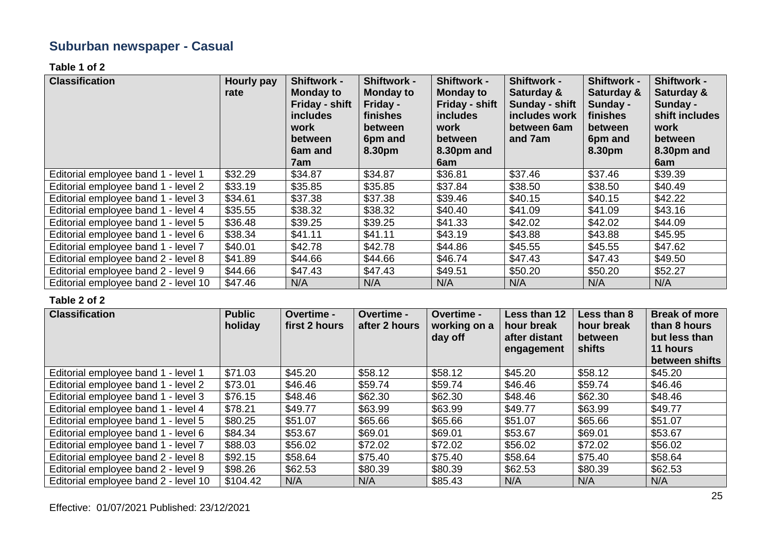# **Suburban newspaper - Casual**

#### **Table 1 of 2**

| <b>Classification</b>                | <b>Hourly pay</b><br>rate | <b>Shiftwork -</b><br><b>Monday to</b><br>Friday - shift<br><i>includes</i><br>work<br><b>between</b><br>6am and<br>7am | <b>Shiftwork -</b><br><b>Monday to</b><br>Friday -<br><b>finishes</b><br><b>between</b><br>6pm and<br>8.30pm | <b>Shiftwork -</b><br><b>Monday to</b><br>Friday - shift<br><i>includes</i><br>work<br><b>between</b><br>8.30pm and<br>6am | <b>Shiftwork -</b><br>Saturday &<br>Sunday - shift<br>includes work<br>between 6am<br>and 7am | <b>Shiftwork -</b><br>Saturday &<br>Sunday -<br>finishes<br>between<br>6pm and<br>8.30pm | <b>Shiftwork -</b><br>Saturday &<br>Sunday -<br>shift includes<br>work<br>between<br>8.30pm and<br>6am |
|--------------------------------------|---------------------------|-------------------------------------------------------------------------------------------------------------------------|--------------------------------------------------------------------------------------------------------------|----------------------------------------------------------------------------------------------------------------------------|-----------------------------------------------------------------------------------------------|------------------------------------------------------------------------------------------|--------------------------------------------------------------------------------------------------------|
| Editorial employee band 1 - level 1  | \$32.29                   | \$34.87                                                                                                                 | \$34.87                                                                                                      | \$36.81                                                                                                                    | \$37.46                                                                                       | \$37.46                                                                                  | \$39.39                                                                                                |
| Editorial employee band 1 - level 2  | \$33.19                   | \$35.85                                                                                                                 | \$35.85                                                                                                      | \$37.84                                                                                                                    | \$38.50                                                                                       | \$38.50                                                                                  | \$40.49                                                                                                |
| Editorial employee band 1 - level 3  | \$34.61                   | \$37.38                                                                                                                 | \$37.38                                                                                                      | \$39.46                                                                                                                    | \$40.15                                                                                       | \$40.15                                                                                  | \$42.22                                                                                                |
| Editorial employee band 1 - level 4  | \$35.55                   | \$38.32                                                                                                                 | \$38.32                                                                                                      | \$40.40                                                                                                                    | \$41.09                                                                                       | \$41.09                                                                                  | \$43.16                                                                                                |
| Editorial employee band 1 - level 5  | \$36.48                   | \$39.25                                                                                                                 | \$39.25                                                                                                      | \$41.33                                                                                                                    | \$42.02                                                                                       | \$42.02                                                                                  | \$44.09                                                                                                |
| Editorial employee band 1 - level 6  | \$38.34                   | \$41.11                                                                                                                 | \$41.11                                                                                                      | \$43.19                                                                                                                    | \$43.88                                                                                       | \$43.88                                                                                  | \$45.95                                                                                                |
| Editorial employee band 1 - level 7  | \$40.01                   | \$42.78                                                                                                                 | \$42.78                                                                                                      | \$44.86                                                                                                                    | \$45.55                                                                                       | \$45.55                                                                                  | \$47.62                                                                                                |
| Editorial employee band 2 - level 8  | \$41.89                   | \$44.66                                                                                                                 | \$44.66                                                                                                      | \$46.74                                                                                                                    | \$47.43                                                                                       | \$47.43                                                                                  | \$49.50                                                                                                |
| Editorial employee band 2 - level 9  | \$44.66                   | \$47.43                                                                                                                 | \$47.43                                                                                                      | \$49.51                                                                                                                    | \$50.20                                                                                       | \$50.20                                                                                  | \$52.27                                                                                                |
| Editorial employee band 2 - level 10 | \$47.46                   | N/A                                                                                                                     | N/A                                                                                                          | N/A                                                                                                                        | N/A                                                                                           | N/A                                                                                      | N/A                                                                                                    |

| <b>Classification</b>                | <b>Public</b><br>holiday | Overtime -<br>first 2 hours | <b>Overtime -</b><br>after 2 hours | <b>Overtime -</b><br>working on a<br>day off | Less than 12<br>hour break<br>after distant<br>engagement | Less than 8<br>hour break<br>between<br>shifts | <b>Break of more</b><br>than 8 hours<br>but less than<br>11 hours<br>between shifts |
|--------------------------------------|--------------------------|-----------------------------|------------------------------------|----------------------------------------------|-----------------------------------------------------------|------------------------------------------------|-------------------------------------------------------------------------------------|
| Editorial employee band 1 - level 1  | \$71.03                  | \$45.20                     | \$58.12                            | \$58.12                                      | \$45.20                                                   | \$58.12                                        | \$45.20                                                                             |
| Editorial employee band 1 - level 2  | \$73.01                  | \$46.46                     | \$59.74                            | \$59.74                                      | \$46.46                                                   | \$59.74                                        | \$46.46                                                                             |
| Editorial employee band 1 - level 3  | \$76.15                  | \$48.46                     | \$62.30                            | \$62.30                                      | \$48.46                                                   | \$62.30                                        | \$48.46                                                                             |
| Editorial employee band 1 - level 4  | \$78.21                  | \$49.77                     | \$63.99                            | \$63.99                                      | \$49.77                                                   | \$63.99                                        | \$49.77                                                                             |
| Editorial employee band 1 - level 5  | \$80.25                  | \$51.07                     | \$65.66                            | \$65.66                                      | \$51.07                                                   | \$65.66                                        | \$51.07                                                                             |
| Editorial employee band 1 - level 6  | \$84.34                  | \$53.67                     | \$69.01                            | \$69.01                                      | \$53.67                                                   | \$69.01                                        | \$53.67                                                                             |
| Editorial employee band 1 - level 7  | \$88.03                  | \$56.02                     | \$72.02                            | \$72.02                                      | \$56.02                                                   | \$72.02                                        | \$56.02                                                                             |
| Editorial employee band 2 - level 8  | \$92.15                  | \$58.64                     | \$75.40                            | \$75.40                                      | \$58.64                                                   | \$75.40                                        | \$58.64                                                                             |
| Editorial employee band 2 - level 9  | \$98.26                  | \$62.53                     | \$80.39                            | \$80.39                                      | \$62.53                                                   | \$80.39                                        | \$62.53                                                                             |
| Editorial employee band 2 - level 10 | \$104.42                 | N/A                         | N/A                                | \$85.43                                      | N/A                                                       | N/A                                            | N/A                                                                                 |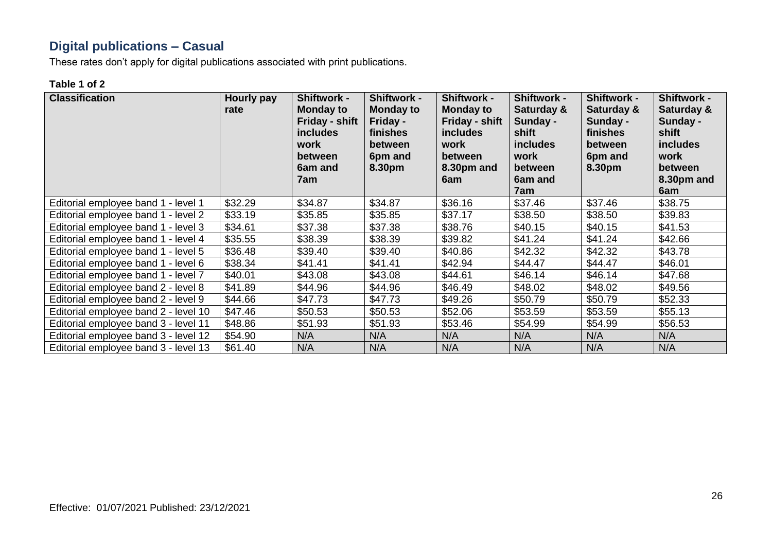# **Digital publications – Casual**

These rates don't apply for digital publications associated with print publications.

#### **Table 1 of 2**

| <b>Classification</b>                | Hourly pay<br>rate | Shiftwork -<br>Monday to<br>Friday - shift<br><b>includes</b><br>work<br>between<br>6am and<br>7am | Shiftwork -<br><b>Monday to</b><br>Friday -<br>finishes<br>between<br>6pm and<br>8.30pm | <b>Shiftwork -</b><br><b>Monday to</b><br><b>Friday - shift</b><br><i>includes</i><br>work<br>between<br>8.30pm and<br>6am | <b>Shiftwork -</b><br>Saturday &<br>Sunday -<br>shift<br>includes<br>work<br>between<br>6am and<br>7am | <b>Shiftwork -</b><br>Saturday &<br>Sunday -<br>finishes<br>between<br>6pm and<br>8.30pm | Shiftwork -<br>Saturday &<br>Sunday -<br>shift<br><b>includes</b><br>work<br>between<br>8.30pm and<br>6am |
|--------------------------------------|--------------------|----------------------------------------------------------------------------------------------------|-----------------------------------------------------------------------------------------|----------------------------------------------------------------------------------------------------------------------------|--------------------------------------------------------------------------------------------------------|------------------------------------------------------------------------------------------|-----------------------------------------------------------------------------------------------------------|
| Editorial employee band 1 - level 1  | \$32.29            | \$34.87                                                                                            | \$34.87                                                                                 | \$36.16                                                                                                                    | \$37.46                                                                                                | \$37.46                                                                                  | \$38.75                                                                                                   |
| Editorial employee band 1 - level 2  | \$33.19            | \$35.85                                                                                            | \$35.85                                                                                 | \$37.17                                                                                                                    | \$38.50                                                                                                | \$38.50                                                                                  | \$39.83                                                                                                   |
| Editorial employee band 1 - level 3  | \$34.61            | \$37.38                                                                                            | \$37.38                                                                                 | \$38.76                                                                                                                    | \$40.15                                                                                                | \$40.15                                                                                  | \$41.53                                                                                                   |
| Editorial employee band 1 - level 4  | \$35.55            | \$38.39                                                                                            | \$38.39                                                                                 | \$39.82                                                                                                                    | \$41.24                                                                                                | \$41.24                                                                                  | \$42.66                                                                                                   |
| Editorial employee band 1 - level 5  | \$36.48            | \$39.40                                                                                            | \$39.40                                                                                 | \$40.86                                                                                                                    | \$42.32                                                                                                | \$42.32                                                                                  | \$43.78                                                                                                   |
| Editorial employee band 1 - level 6  | \$38.34            | \$41.41                                                                                            | \$41.41                                                                                 | \$42.94                                                                                                                    | \$44.47                                                                                                | \$44.47                                                                                  | \$46.01                                                                                                   |
| Editorial employee band 1 - level 7  | \$40.01            | \$43.08                                                                                            | \$43.08                                                                                 | \$44.61                                                                                                                    | \$46.14                                                                                                | \$46.14                                                                                  | \$47.68                                                                                                   |
| Editorial employee band 2 - level 8  | \$41.89            | \$44.96                                                                                            | \$44.96                                                                                 | \$46.49                                                                                                                    | \$48.02                                                                                                | \$48.02                                                                                  | \$49.56                                                                                                   |
| Editorial employee band 2 - level 9  | \$44.66            | \$47.73                                                                                            | \$47.73                                                                                 | \$49.26                                                                                                                    | \$50.79                                                                                                | \$50.79                                                                                  | \$52.33                                                                                                   |
| Editorial employee band 2 - level 10 | \$47.46            | \$50.53                                                                                            | \$50.53                                                                                 | \$52.06                                                                                                                    | \$53.59                                                                                                | \$53.59                                                                                  | \$55.13                                                                                                   |
| Editorial employee band 3 - level 11 | \$48.86            | \$51.93                                                                                            | \$51.93                                                                                 | \$53.46                                                                                                                    | \$54.99                                                                                                | \$54.99                                                                                  | \$56.53                                                                                                   |
| Editorial employee band 3 - level 12 | \$54.90            | N/A                                                                                                | N/A                                                                                     | N/A                                                                                                                        | N/A                                                                                                    | N/A                                                                                      | N/A                                                                                                       |
| Editorial employee band 3 - level 13 | \$61.40            | N/A                                                                                                | N/A                                                                                     | N/A                                                                                                                        | N/A                                                                                                    | N/A                                                                                      | N/A                                                                                                       |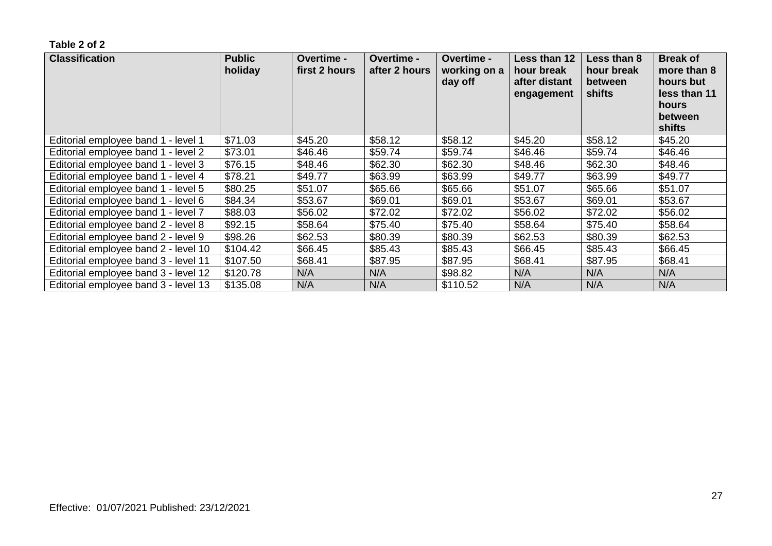| <b>Classification</b>                | <b>Public</b><br>holiday | Overtime -<br>first 2 hours | <b>Overtime -</b><br>after 2 hours | Overtime -<br>working on a<br>day off | Less than 12<br>hour break<br>after distant<br>engagement | Less than 8<br>hour break<br>between<br>shifts | <b>Break of</b><br>more than 8<br>hours but<br>less than 11<br>hours<br>between<br>shifts |
|--------------------------------------|--------------------------|-----------------------------|------------------------------------|---------------------------------------|-----------------------------------------------------------|------------------------------------------------|-------------------------------------------------------------------------------------------|
| Editorial employee band 1 - level 1  | \$71.03                  | \$45.20                     | \$58.12                            | \$58.12                               | \$45.20                                                   | \$58.12                                        | \$45.20                                                                                   |
| Editorial employee band 1 - level 2  | \$73.01                  | \$46.46                     | \$59.74                            | \$59.74                               | \$46.46                                                   | \$59.74                                        | \$46.46                                                                                   |
| Editorial employee band 1 - level 3  | \$76.15                  | \$48.46                     | \$62.30                            | \$62.30                               | \$48.46                                                   | \$62.30                                        | \$48.46                                                                                   |
| Editorial employee band 1 - level 4  | \$78.21                  | \$49.77                     | \$63.99                            | \$63.99                               | \$49.77                                                   | \$63.99                                        | \$49.77                                                                                   |
| Editorial employee band 1 - level 5  | \$80.25                  | \$51.07                     | \$65.66                            | \$65.66                               | \$51.07                                                   | \$65.66                                        | \$51.07                                                                                   |
| Editorial employee band 1 - level 6  | \$84.34                  | \$53.67                     | \$69.01                            | \$69.01                               | \$53.67                                                   | \$69.01                                        | \$53.67                                                                                   |
| Editorial employee band 1 - level 7  | \$88.03                  | \$56.02                     | \$72.02                            | \$72.02                               | \$56.02                                                   | \$72.02                                        | \$56.02                                                                                   |
| Editorial employee band 2 - level 8  | \$92.15                  | \$58.64                     | \$75.40                            | \$75.40                               | \$58.64                                                   | \$75.40                                        | \$58.64                                                                                   |
| Editorial employee band 2 - level 9  | \$98.26                  | \$62.53                     | \$80.39                            | \$80.39                               | \$62.53                                                   | \$80.39                                        | \$62.53                                                                                   |
| Editorial employee band 2 - level 10 | \$104.42                 | \$66.45                     | \$85.43                            | \$85.43                               | \$66.45                                                   | \$85.43                                        | \$66.45                                                                                   |
| Editorial employee band 3 - level 11 | \$107.50                 | \$68.41                     | \$87.95                            | \$87.95                               | \$68.41                                                   | \$87.95                                        | \$68.41                                                                                   |
| Editorial employee band 3 - level 12 | \$120.78                 | N/A                         | N/A                                | \$98.82                               | N/A                                                       | N/A                                            | N/A                                                                                       |
| Editorial employee band 3 - level 13 | \$135.08                 | N/A                         | N/A                                | \$110.52                              | N/A                                                       | N/A                                            | N/A                                                                                       |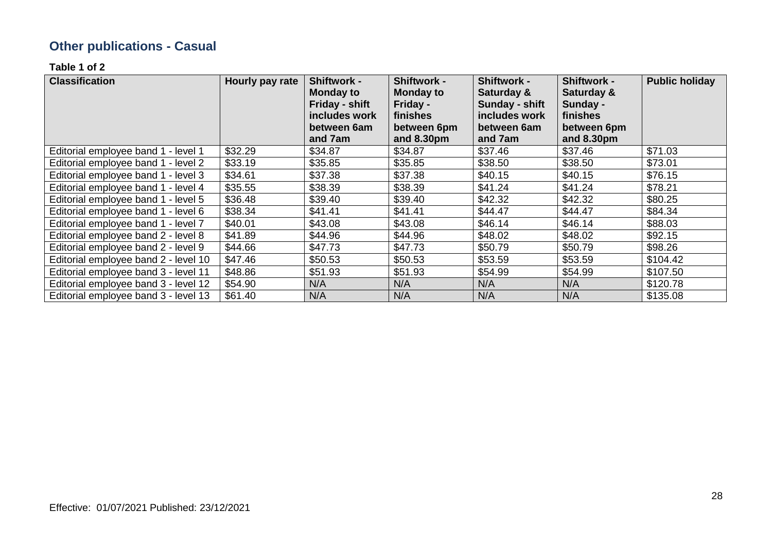# **Other publications - Casual**

**Table 1 of 2**

| <b>Classification</b>                | Hourly pay rate | <b>Shiftwork -</b><br><b>Monday to</b><br>Friday - shift<br>includes work<br>between 6am<br>and 7am | <b>Shiftwork -</b><br><b>Monday to</b><br>Friday -<br>finishes<br>between 6pm<br>and 8.30pm | <b>Shiftwork -</b><br>Saturday &<br>Sunday - shift<br>includes work<br>between 6am<br>and 7am | <b>Shiftwork -</b><br>Saturday &<br>Sunday -<br>finishes<br>between 6pm<br>and 8.30pm | <b>Public holiday</b> |
|--------------------------------------|-----------------|-----------------------------------------------------------------------------------------------------|---------------------------------------------------------------------------------------------|-----------------------------------------------------------------------------------------------|---------------------------------------------------------------------------------------|-----------------------|
| Editorial employee band 1 - level 1  | \$32.29         | \$34.87                                                                                             | \$34.87                                                                                     | \$37.46                                                                                       | \$37.46                                                                               | \$71.03               |
| Editorial employee band 1 - level 2  | \$33.19         | \$35.85                                                                                             | \$35.85                                                                                     | \$38.50                                                                                       | \$38.50                                                                               | \$73.01               |
| Editorial employee band 1 - level 3  | \$34.61         | \$37.38                                                                                             | \$37.38                                                                                     | \$40.15                                                                                       | \$40.15                                                                               | \$76.15               |
| Editorial employee band 1 - level 4  | \$35.55         | \$38.39                                                                                             | \$38.39                                                                                     | \$41.24                                                                                       | \$41.24                                                                               | \$78.21               |
| Editorial employee band 1 - level 5  | \$36.48         | \$39.40                                                                                             | \$39.40                                                                                     | \$42.32                                                                                       | \$42.32                                                                               | \$80.25               |
| Editorial employee band 1 - level 6  | \$38.34         | \$41.41                                                                                             | \$41.41                                                                                     | \$44.47                                                                                       | \$44.47                                                                               | \$84.34               |
| Editorial employee band 1 - level 7  | \$40.01         | \$43.08                                                                                             | \$43.08                                                                                     | \$46.14                                                                                       | \$46.14                                                                               | \$88.03               |
| Editorial employee band 2 - level 8  | \$41.89         | \$44.96                                                                                             | \$44.96                                                                                     | \$48.02                                                                                       | \$48.02                                                                               | \$92.15               |
| Editorial employee band 2 - level 9  | \$44.66         | \$47.73                                                                                             | \$47.73                                                                                     | \$50.79                                                                                       | \$50.79                                                                               | \$98.26               |
| Editorial employee band 2 - level 10 | \$47.46         | \$50.53                                                                                             | \$50.53                                                                                     | \$53.59                                                                                       | \$53.59                                                                               | \$104.42              |
| Editorial employee band 3 - level 11 | \$48.86         | \$51.93                                                                                             | \$51.93                                                                                     | \$54.99                                                                                       | \$54.99                                                                               | \$107.50              |
| Editorial employee band 3 - level 12 | \$54.90         | N/A                                                                                                 | N/A                                                                                         | N/A                                                                                           | N/A                                                                                   | \$120.78              |
| Editorial employee band 3 - level 13 | \$61.40         | N/A                                                                                                 | N/A                                                                                         | N/A                                                                                           | N/A                                                                                   | \$135.08              |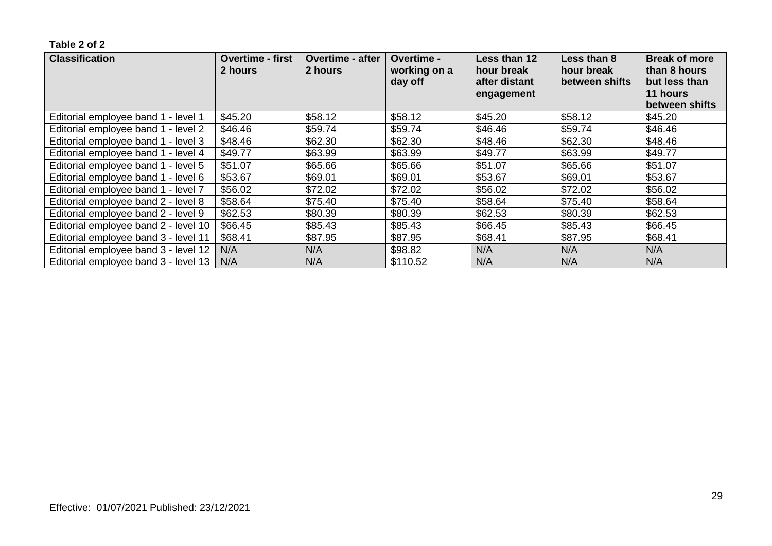| <b>Classification</b>                | <b>Overtime - first</b><br>2 hours | <b>Overtime - after</b><br>2 hours | Overtime -<br>working on a<br>day off | Less than 12<br>hour break<br>after distant<br>engagement | Less than 8<br>hour break<br>between shifts | <b>Break of more</b><br>than 8 hours<br>but less than<br>11 hours<br>between shifts |
|--------------------------------------|------------------------------------|------------------------------------|---------------------------------------|-----------------------------------------------------------|---------------------------------------------|-------------------------------------------------------------------------------------|
| Editorial employee band 1 - level 1  | \$45.20                            | \$58.12                            | \$58.12                               | \$45.20                                                   | \$58.12                                     | \$45.20                                                                             |
| Editorial employee band 1 - level 2  | \$46.46                            | \$59.74                            | \$59.74                               | \$46.46                                                   | \$59.74                                     | \$46.46                                                                             |
| Editorial employee band 1 - level 3  | \$48.46                            | \$62.30                            | \$62.30                               | \$48.46                                                   | \$62.30                                     | \$48.46                                                                             |
| Editorial employee band 1 - level 4  | \$49.77                            | \$63.99                            | \$63.99                               | \$49.77                                                   | \$63.99                                     | \$49.77                                                                             |
| Editorial employee band 1 - level 5  | \$51.07                            | \$65.66                            | \$65.66                               | \$51.07                                                   | \$65.66                                     | \$51.07                                                                             |
| Editorial employee band 1 - level 6  | \$53.67                            | \$69.01                            | \$69.01                               | \$53.67                                                   | \$69.01                                     | \$53.67                                                                             |
| Editorial employee band 1 - level 7  | \$56.02                            | \$72.02                            | \$72.02                               | \$56.02                                                   | \$72.02                                     | \$56.02                                                                             |
| Editorial employee band 2 - level 8  | \$58.64                            | \$75.40                            | \$75.40                               | \$58.64                                                   | \$75.40                                     | \$58.64                                                                             |
| Editorial employee band 2 - level 9  | \$62.53                            | \$80.39                            | \$80.39                               | \$62.53                                                   | \$80.39                                     | \$62.53                                                                             |
| Editorial employee band 2 - level 10 | \$66.45                            | \$85.43                            | \$85.43                               | \$66.45                                                   | \$85.43                                     | \$66.45                                                                             |
| Editorial employee band 3 - level 11 | \$68.41                            | \$87.95                            | \$87.95                               | \$68.41                                                   | \$87.95                                     | \$68.41                                                                             |
| Editorial employee band 3 - level 12 | N/A                                | N/A                                | \$98.82                               | N/A                                                       | N/A                                         | N/A                                                                                 |
| Editorial employee band 3 - level 13 | N/A                                | N/A                                | \$110.52                              | N/A                                                       | N/A                                         | N/A                                                                                 |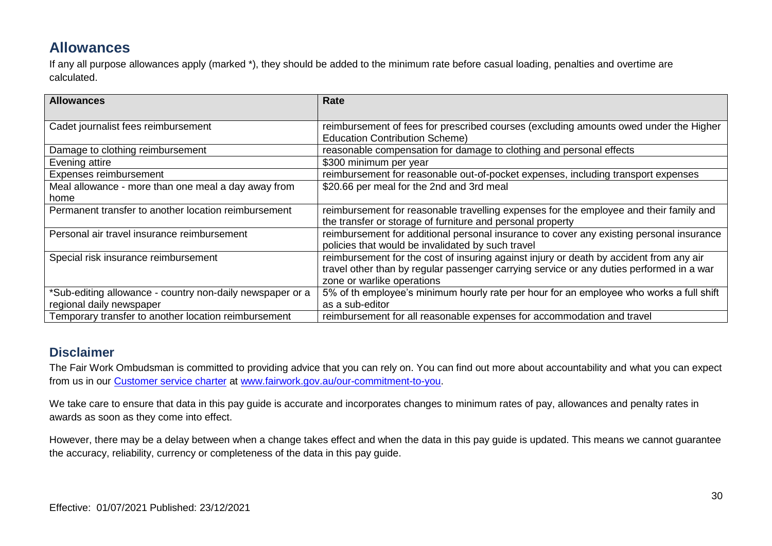### **Allowances**

If any all purpose allowances apply (marked \*), they should be added to the minimum rate before casual loading, penalties and overtime are calculated.

| <b>Allowances</b>                                         | Rate                                                                                                                                                                                                              |
|-----------------------------------------------------------|-------------------------------------------------------------------------------------------------------------------------------------------------------------------------------------------------------------------|
| Cadet journalist fees reimbursement                       | reimbursement of fees for prescribed courses (excluding amounts owed under the Higher<br><b>Education Contribution Scheme)</b>                                                                                    |
| Damage to clothing reimbursement                          | reasonable compensation for damage to clothing and personal effects                                                                                                                                               |
| Evening attire                                            | \$300 minimum per year                                                                                                                                                                                            |
| Expenses reimbursement                                    | reimbursement for reasonable out-of-pocket expenses, including transport expenses                                                                                                                                 |
| Meal allowance - more than one meal a day away from       | \$20.66 per meal for the 2nd and 3rd meal                                                                                                                                                                         |
| home                                                      |                                                                                                                                                                                                                   |
| Permanent transfer to another location reimbursement      | reimbursement for reasonable travelling expenses for the employee and their family and<br>the transfer or storage of furniture and personal property                                                              |
| Personal air travel insurance reimbursement               | reimbursement for additional personal insurance to cover any existing personal insurance<br>policies that would be invalidated by such travel                                                                     |
| Special risk insurance reimbursement                      | reimbursement for the cost of insuring against injury or death by accident from any air<br>travel other than by regular passenger carrying service or any duties performed in a war<br>zone or warlike operations |
| *Sub-editing allowance - country non-daily newspaper or a | 5% of th employee's minimum hourly rate per hour for an employee who works a full shift                                                                                                                           |
| regional daily newspaper                                  | as a sub-editor                                                                                                                                                                                                   |
| Temporary transfer to another location reimbursement      | reimbursement for all reasonable expenses for accommodation and travel                                                                                                                                            |

#### **Disclaimer**

The Fair Work Ombudsman is committed to providing advice that you can rely on. You can find out more about accountability and what you can expect from us in our [Customer service charter](https://www.fairwork.gov.au/about-us/our-role-and-purpose/our-priorities/our-commitment-to-you#customer-service-charter) at [www.fairwork.gov.au/our-commitment-to-you.](http://www.fairwork.gov.au/our-commitment-to-you)

We take care to ensure that data in this pay guide is accurate and incorporates changes to minimum rates of pay, allowances and penalty rates in awards as soon as they come into effect.

However, there may be a delay between when a change takes effect and when the data in this pay guide is updated. This means we cannot guarantee the accuracy, reliability, currency or completeness of the data in this pay guide.